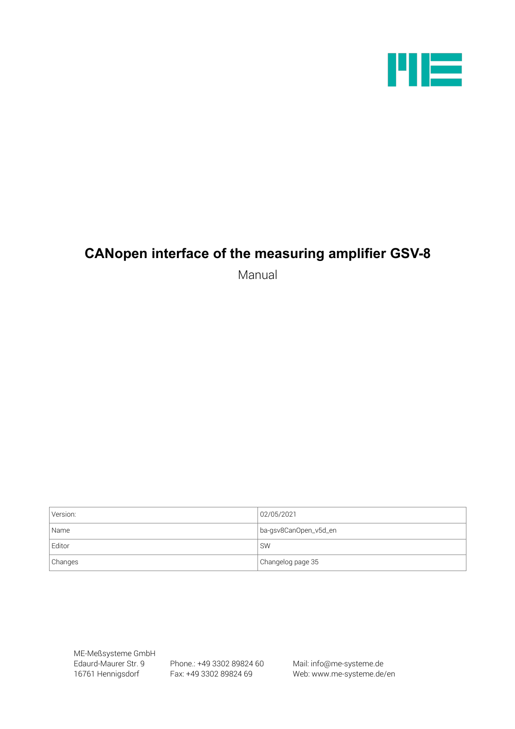

# **CANopen interface of the measuring amplifier GSV-8**

Manual

| Version: | 02/05/2021            |
|----------|-----------------------|
| Name     | ba-gsv8CanOpen_v5d_en |
| Editor   | <b>SW</b>             |
| Changes  | Changelog page 35     |

ME-Meßsysteme GmbH

Edaurd-Maurer Str. 9 Phone.: +49 3302 89824 60 Mail: info@me-systeme.de

16761 Hennigsdorf Fax: +49 3302 89824 69 Web: www.me-systeme.de/en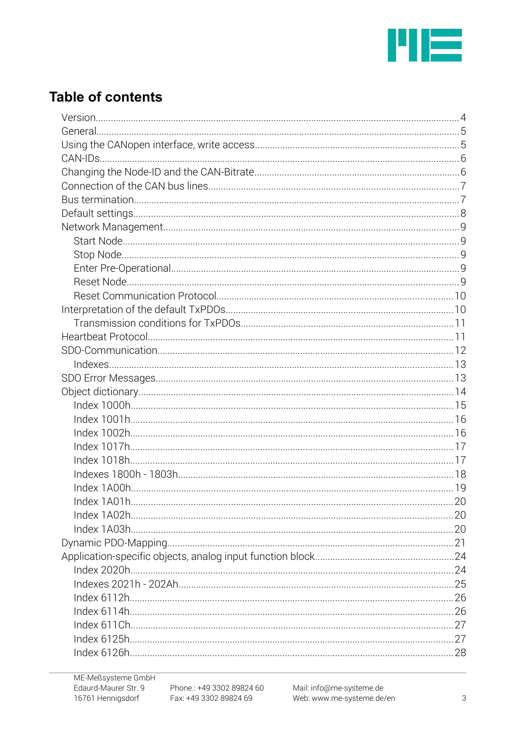

# **Table of contents**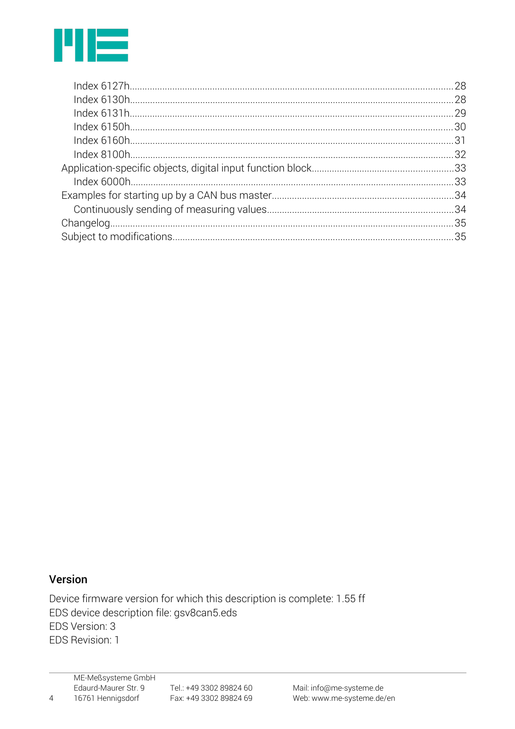

## Version

 $\overline{4}$ 

Device firmware version for which this description is complete: 1.55 ff EDS device description file: gsv8can5.eds EDS Version: 3 EDS Revision: 1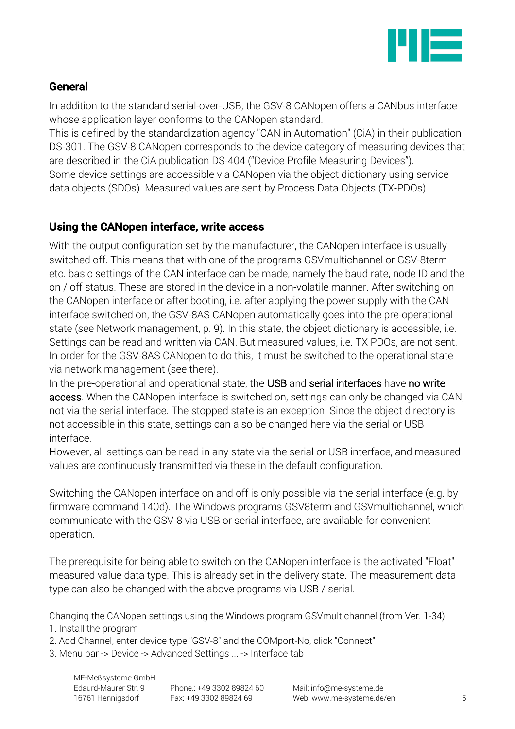

# General

In addition to the standard serial-over-USB, the GSV-8 CANopen offers a CANbus interface whose application layer conforms to the CANopen standard.

This is defined by the standardization agency "CAN in Automation" (CiA) in their publication DS-301. The GSV-8 CANopen corresponds to the device category of measuring devices that are described in the CiA publication DS-404 ("Device Profile Measuring Devices"). Some device settings are accessible via CANopen via the object dictionary using service data objects (SDOs). Measured values are sent by Process Data Objects (TX-PDOs).

# Using the CANopen interface, write access

With the output configuration set by the manufacturer, the CANopen interface is usually switched off. This means that with one of the programs GSVmultichannel or GSV-8term etc. basic settings of the CAN interface can be made, namely the baud rate, node ID and the on / off status. These are stored in the device in a non-volatile manner. After switching on the CANopen interface or after booting, i.e. after applying the power supply with the CAN interface switched on, the GSV-8AS CANopen automatically goes into the pre-operational state (see Network management, p. 9). In this state, the object dictionary is accessible, i.e. Settings can be read and written via CAN. But measured values, i.e. TX PDOs, are not sent. In order for the GSV-8AS CANopen to do this, it must be switched to the operational state via network management (see there).

In the pre-operational and operational state, the USB and serial interfaces have no write access. When the CANopen interface is switched on, settings can only be changed via CAN, not via the serial interface. The stopped state is an exception: Since the object directory is not accessible in this state, settings can also be changed here via the serial or USB interface.

However, all settings can be read in any state via the serial or USB interface, and measured values are continuously transmitted via these in the default configuration.

Switching the CANopen interface on and off is only possible via the serial interface (e.g. by firmware command 140d). The Windows programs GSV8term and GSVmultichannel, which communicate with the GSV-8 via USB or serial interface, are available for convenient operation.

The prerequisite for being able to switch on the CANopen interface is the activated "Float" measured value data type. This is already set in the delivery state. The measurement data type can also be changed with the above programs via USB / serial.

Changing the CANopen settings using the Windows program GSVmultichannel (from Ver. 1-34):

1. Install the program

2. Add Channel, enter device type "GSV-8" and the COMport-No, click "Connect"

3. Menu bar -> Device -> Advanced Settings ... -> Interface tab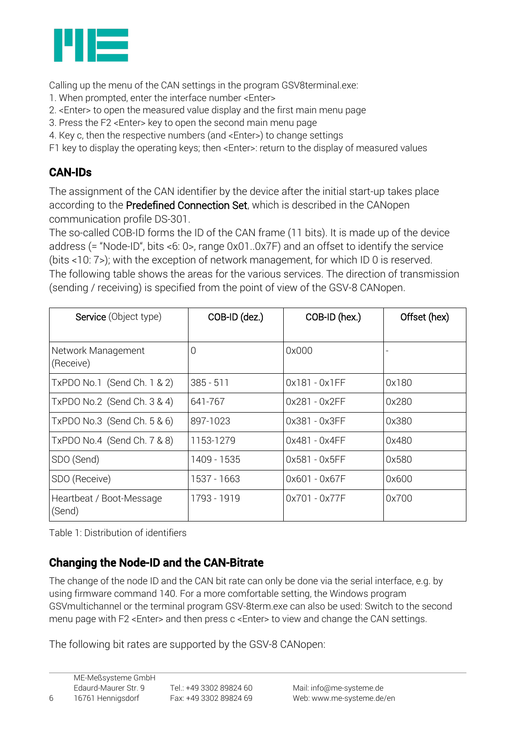

Calling up the menu of the CAN settings in the program GSV8terminal.exe:

- 1. When prompted, enter the interface number <Enter>
- 2. <Enter> to open the measured value display and the first main menu page
- 3. Press the F2 <Enter> key to open the second main menu page
- 4. Key c, then the respective numbers (and <Enter>) to change settings
- F1 key to display the operating keys; then <Enter>: return to the display of measured values

# CAN-IDs

The assignment of the CAN identifier by the device after the initial start-up takes place according to the Predefined Connection Set, which is described in the CANopen communication profile DS-301.

The so-called COB-ID forms the ID of the CAN frame (11 bits). It is made up of the device address (= "Node-ID", bits <6: 0>, range 0x01..0x7F) and an offset to identify the service (bits <10: 7>); with the exception of network management, for which ID 0 is reserved. The following table shows the areas for the various services. The direction of transmission (sending / receiving) is specified from the point of view of the GSV-8 CANopen.

| Service (Object type)              | COB-ID (dez.)  | COB-ID (hex.)   | Offset (hex) |
|------------------------------------|----------------|-----------------|--------------|
| Network Management<br>(Receive)    | $\overline{0}$ | 0x000           |              |
| TxPDO No.1 (Send Ch. 1 & 2)        | $385 - 511$    | $0x181 - 0x1FF$ | 0x180        |
| TxPDO No.2 (Send Ch. 3 & 4)        | 641-767        | 0x281 - 0x2FF   | 0x280        |
| TxPDO No.3 (Send Ch. 5 & 6)        | 897-1023       | 0x381 - 0x3FF   | 0x380        |
| TxPDO No.4 (Send Ch. 7 & 8)        | 1153-1279      | 0x481 - 0x4FF   | 0x480        |
| SDO (Send)                         | 1409 - 1535    | 0x581 - 0x5FF   | 0x580        |
| SDO (Receive)                      | 1537 - 1663    | 0x601 - 0x67F   | 0x600        |
| Heartbeat / Boot-Message<br>(Send) | 1793 - 1919    | 0x701 - 0x77F   | 0x700        |

Table 1: Distribution of identifiers

# Changing the Node-ID and the CAN-Bitrate

The change of the node ID and the CAN bit rate can only be done via the serial interface, e.g. by using firmware command 140. For a more comfortable setting, the Windows program GSVmultichannel or the terminal program GSV-8term.exe can also be used: Switch to the second menu page with F2 <Enter> and then press c <Enter> to view and change the CAN settings.

The following bit rates are supported by the GSV-8 CANopen: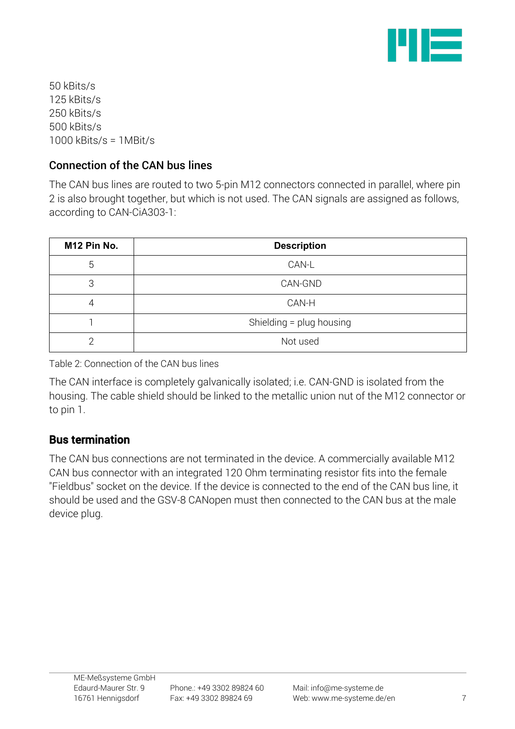

50 kBits/s 125 kBits/s 250 kBits/s 500 kBits/s 1000 kBits/s = 1MBit/s

# Connection of the CAN bus lines

The CAN bus lines are routed to two 5-pin M12 connectors connected in parallel, where pin 2 is also brought together, but which is not used. The CAN signals are assigned as follows, according to CAN-CiA303-1:

| M12 Pin No. | <b>Description</b>       |
|-------------|--------------------------|
| 5           | CAN-L                    |
| 3           | CAN-GND                  |
| 4           | CAN-H                    |
|             | Shielding = plug housing |
| ⌒           | Not used                 |

Table 2: Connection of the CAN bus lines

The CAN interface is completely galvanically isolated; i.e. CAN-GND is isolated from the housing. The cable shield should be linked to the metallic union nut of the M12 connector or to pin 1.

# Bus termination

The CAN bus connections are not terminated in the device. A commercially available M12 CAN bus connector with an integrated 120 Ohm terminating resistor fits into the female "Fieldbus" socket on the device. If the device is connected to the end of the CAN bus line, it should be used and the GSV-8 CANopen must then connected to the CAN bus at the male device plug.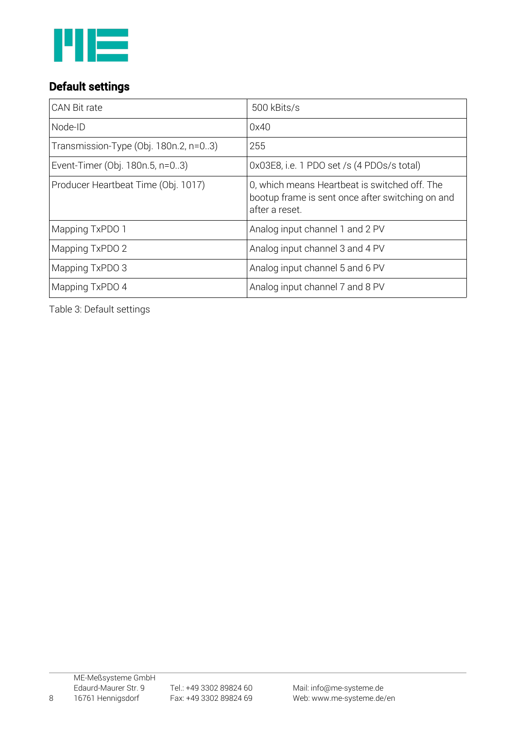

# Default settings

| CAN Bit rate                          | 500 kBits/s                                                                                                         |
|---------------------------------------|---------------------------------------------------------------------------------------------------------------------|
| Node-ID                               | 0x40                                                                                                                |
| Transmission-Type (Obj. 180n.2, n=03) | 255                                                                                                                 |
| Event-Timer (Obj. 180n.5, n=03)       | 0x03E8, i.e. 1 PDO set /s (4 PDOs/s total)                                                                          |
| Producer Heartbeat Time (Obj. 1017)   | 0, which means Heartbeat is switched off. The<br>bootup frame is sent once after switching on and<br>after a reset. |
| Mapping TxPDO 1                       | Analog input channel 1 and 2 PV                                                                                     |
| Mapping TxPDO 2                       | Analog input channel 3 and 4 PV                                                                                     |
| Mapping TxPDO 3                       | Analog input channel 5 and 6 PV                                                                                     |
| Mapping TxPDO 4                       | Analog input channel 7 and 8 PV                                                                                     |

Table 3: Default settings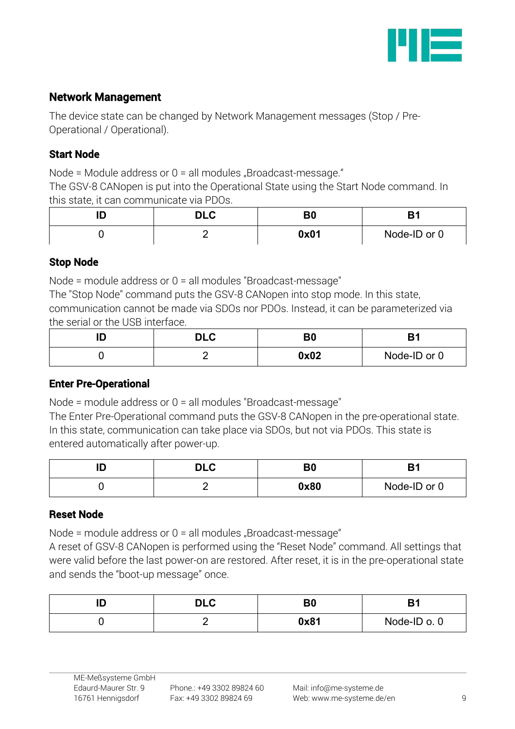

# Network Management

The device state can be changed by Network Management messages (Stop / Pre-Operational / Operational).

### Start Node

Node = Module address or  $0 =$  all modules "Broadcast-message."

The GSV-8 CANopen is put into the Operational State using the Start Node command. In this state, it can communicate via PDOs.

| . . | י וח<br>レレい | B0   |              |  |
|-----|-------------|------|--------------|--|
|     |             | 0x01 | Node-ID or 0 |  |

# Stop Node

Node = module address or 0 = all modules "Broadcast-message"

The "Stop Node" command puts the GSV-8 CANopen into stop mode. In this state, communication cannot be made via SDOs nor PDOs. Instead, it can be parameterized via the serial or the USB interface.

| י ה<br>レレい | n r<br>Du |              |  |
|------------|-----------|--------------|--|
|            | 0x02      | Node-ID or 0 |  |

# Enter Pre-Operational

Node = module address or 0 = all modules "Broadcast-message"

The Enter Pre-Operational command puts the GSV-8 CANopen in the pre-operational state. In this state, communication can take place via SDOs, but not via PDOs. This state is entered automatically after power-up.

| שו | <b>DLC</b> | B <sub>0</sub> |              |  |
|----|------------|----------------|--------------|--|
|    |            | 0x80           | Node-ID or 0 |  |

### Reset Node

Node = module address or  $0 =$  all modules "Broadcast-message"

A reset of GSV-8 CANopen is performed using the "Reset Node" command. All settings that were valid before the last power-on are restored. After reset, it is in the pre-operational state and sends the "boot-up message" once.

| m<br>., | <b>DIC</b><br>ᄓᄂ | B <sub>0</sub> | D.           |  |
|---------|------------------|----------------|--------------|--|
|         | –                | 0x81           | Node-ID o. 0 |  |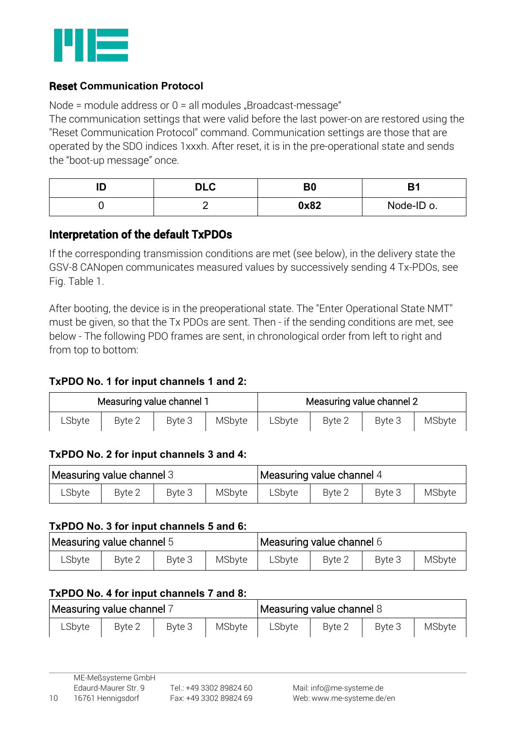

### Reset **Communication Protocol**

Node = module address or  $0 =$  all modules "Broadcast-message"

The communication settings that were valid before the last power-on are restored using the "Reset Communication Protocol" command. Communication settings are those that are operated by the SDO indices 1xxxh. After reset, it is in the pre-operational state and sends the "boot-up message" once.

| שו | <b>DIC</b><br>ט∟ש | B <sub>0</sub> |            |  |
|----|-------------------|----------------|------------|--|
|    | -                 | 0x82           | Node-ID o. |  |

# Interpretation of the default TxPDOs

If the corresponding transmission conditions are met (see below), in the delivery state the GSV-8 CANopen communicates measured values by successively sending 4 Tx-PDOs, see Fig. Table 1.

After booting, the device is in the preoperational state. The "Enter Operational State NMT" must be given, so that the Tx PDOs are sent. Then - if the sending conditions are met, see below - The following PDO frames are sent, in chronological order from left to right and from top to bottom:

### **TxPDO No. 1 for input channels 1 and 2:**

| Measuring value channel 1 |        | Measuring value channel 2 |        |        |        |        |        |
|---------------------------|--------|---------------------------|--------|--------|--------|--------|--------|
| LSbyte                    | Byte 2 | Byte 3                    | MSbyte | LSbyte | Byte 2 | Byte 3 | MSbyte |

#### **TxPDO No. 2 for input channels 3 and 4:**

| Measuring value channel 3 |        |        | Measuring value channel 4 |        |        |        |        |
|---------------------------|--------|--------|---------------------------|--------|--------|--------|--------|
| ∟Sbyte                    | Byte 2 | Byte 3 | MSbyte                    | LSbyte | Byte 2 | Byte 3 | MSbyte |

#### **TxPDO No. 3 for input channels 5 and 6:**

| Measuring value channel 5 |        |        | Measuring value channel 6 |        |        |        |        |
|---------------------------|--------|--------|---------------------------|--------|--------|--------|--------|
| LSbyte                    | Byte 2 | Byte 3 | MSbyte                    | LSbyte | Byte 2 | Byte 3 | MSbyte |

#### **TxPDO No. 4 for input channels 7 and 8:**

| Measuring value channel 7 |        |        | Measuring value channel 8 |        |        |        |        |
|---------------------------|--------|--------|---------------------------|--------|--------|--------|--------|
| ∟Sbyte                    | Byte 2 | Byte 3 | MSbyte                    | LSbyte | Byte 2 | Byte 3 | MSbyte |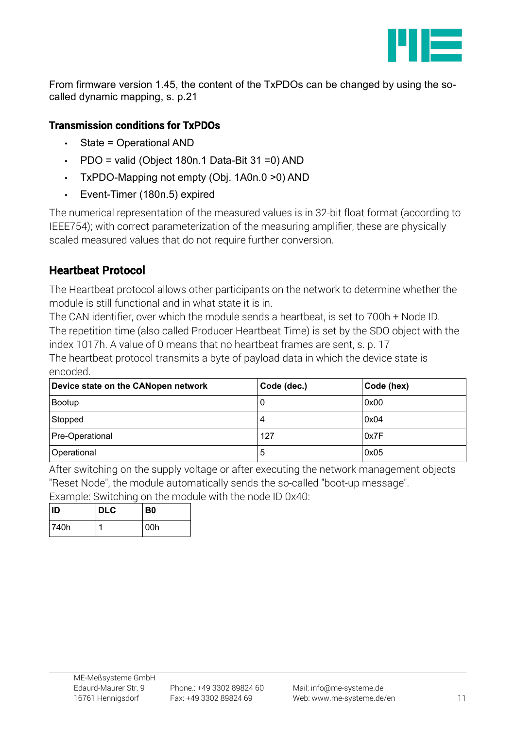

From firmware version 1.45, the content of the TxPDOs can be changed by using the socalled dynamic mapping, s. p[.21](#page-20-0)

# Transmission conditions for TxPDOs

- State = Operational AND
- PDO = valid (Object 180n.1 Data-Bit 31 =0) AND
- TxPDO-Mapping not empty (Obj. 1A0n.0 >0) AND
- Event-Timer (180n.5) expired

The numerical representation of the measured values is in 32-bit float format (according to IEEE754); with correct parameterization of the measuring amplifier, these are physically scaled measured values that do not require further conversion.

# Heartbeat Protocol

The Heartbeat protocol allows other participants on the network to determine whether the module is still functional and in what state it is in.

The CAN identifier, over which the module sends a heartbeat, is set to 700h + Node ID. The repetition time (also called Producer Heartbeat Time) is set by the SDO object with the index 1017h. A value of 0 means that no heartbeat frames are sent, s. p. [17](#page-16-0) The heartbeat protocol transmits a byte of payload data in which the device state is encoded.

| Device state on the CANopen network | Code (dec.) | Code (hex) |
|-------------------------------------|-------------|------------|
| Bootup                              | 0           | 0x00       |
| Stopped                             | 4           | 0x04       |
| Pre-Operational                     | 127         | 0x7F       |
| Operational                         | 5           | 0x05       |

After switching on the supply voltage or after executing the network management objects "Reset Node", the module automatically sends the so-called "boot-up message". Example: Switching on the module with the node ID 0x40:

| ID   | <b>DLC</b> | B <sub>0</sub> |
|------|------------|----------------|
| 740h |            | 00h            |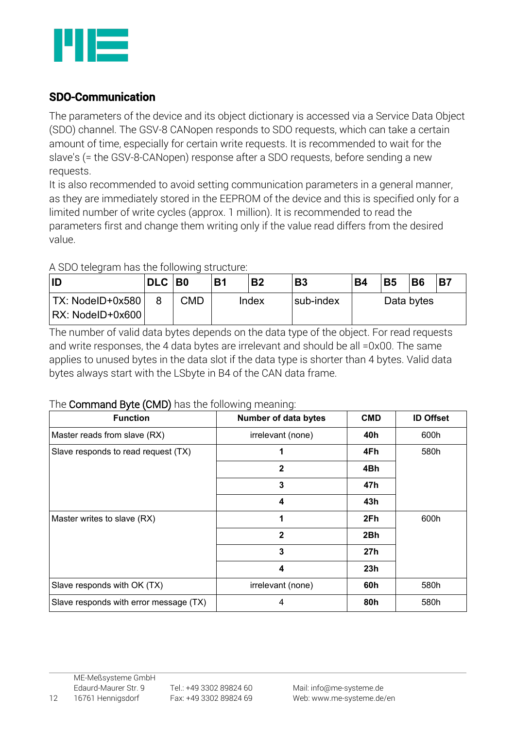

# SDO-Communication

The parameters of the device and its object dictionary is accessed via a Service Data Object (SDO) channel. The GSV-8 CANopen responds to SDO requests, which can take a certain amount of time, especially for certain write requests. It is recommended to wait for the slave's (= the GSV-8-CANopen) response after a SDO requests, before sending a new requests.

It is also recommended to avoid setting communication parameters in a general manner, as they are immediately stored in the EEPROM of the device and this is specified only for a limited number of write cycles (approx. 1 million). It is recommended to read the parameters first and change them writing only if the value read differs from the desired value.

### A SDO telegram has the following structure:

| ID               | <b>DLC</b> | <b>BO</b> | <b>B1</b> | <b>B2</b> | <b>B3</b> | <b>B4</b> | <b>B5</b> | <b>B6</b>  | <b>B7</b> |
|------------------|------------|-----------|-----------|-----------|-----------|-----------|-----------|------------|-----------|
| TX: NodeID+0x580 |            | CMD.      |           | Index     | sub-index |           |           | Data bytes |           |
|                  |            |           |           |           |           |           |           |            |           |

The number of valid data bytes depends on the data type of the object. For read requests and write responses, the 4 data bytes are irrelevant and should be all =0x00. The same applies to unused bytes in the data slot if the data type is shorter than 4 bytes. Valid data bytes always start with the LSbyte in B4 of the CAN data frame.

### The Command Byte (CMD) has the following meaning:

| <b>Function</b>                        | <b>Number of data bytes</b> | <b>CMD</b> | <b>ID Offset</b> |
|----------------------------------------|-----------------------------|------------|------------------|
| Master reads from slave (RX)           | irrelevant (none)           | 40h        | 600h             |
| Slave responds to read request (TX)    |                             | 4Fh        | 580h             |
|                                        | $\mathbf{2}$                | 4Bh        |                  |
|                                        | 3                           | 47h        |                  |
|                                        | 4                           | 43h        |                  |
| Master writes to slave (RX)            | 1                           | 2Fh        | 600h             |
|                                        | $\mathbf{2}$                | 2Bh        |                  |
|                                        | 3                           | 27h        |                  |
|                                        | 4                           | 23h        |                  |
| Slave responds with OK (TX)            | irrelevant (none)           | 60h        | 580h             |
| Slave responds with error message (TX) | 4                           | 80h        | 580h             |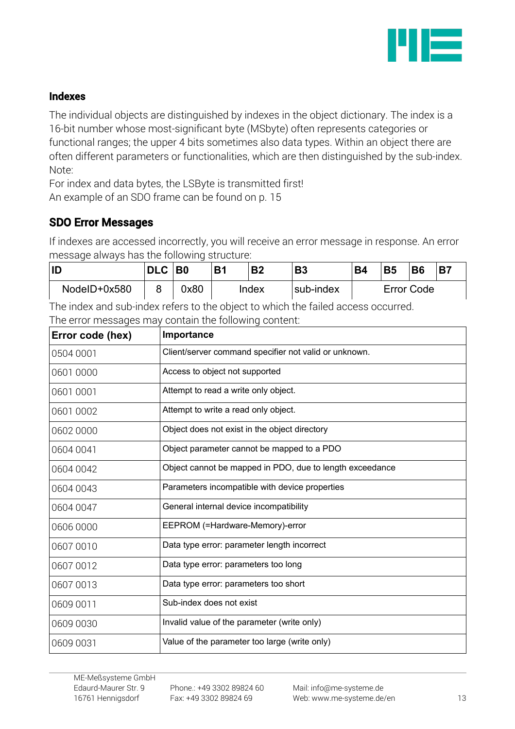

### Indexes

The individual objects are distinguished by indexes in the object dictionary. The index is a 16-bit number whose most-significant byte (MSbyte) often represents categories or functional ranges; the upper 4 bits sometimes also data types. Within an object there are often different parameters or functionalities, which are then distinguished by the sub-index. Note:

For index and data bytes, the LSByte is transmitted first! An example of an SDO frame can be found on p. [15](#page-14-0)

# SDO Error Messages

If indexes are accessed incorrectly, you will receive an error message in response. An error message always has the following structure:

| ID           | <b>DLC</b> | B <sub>0</sub> | <b>B1</b> | <b>B2</b> | <b>B3</b> | <b>B4</b> | <b>B5</b> | <b>B6</b>         | <b>B7</b> |
|--------------|------------|----------------|-----------|-----------|-----------|-----------|-----------|-------------------|-----------|
| NodeID+0x580 |            | 0x80           |           | Index     | sub-index |           |           | <b>Error Code</b> |           |

The index and sub-index refers to the object to which the failed access occurred. The error messages may contain the following content:

| Error code (hex) | Importance                                               |
|------------------|----------------------------------------------------------|
| 0504 0001        | Client/server command specifier not valid or unknown.    |
| 0601 0000        | Access to object not supported                           |
| 0601 0001        | Attempt to read a write only object.                     |
| 0601 0002        | Attempt to write a read only object.                     |
| 0602 0000        | Object does not exist in the object directory            |
| 0604 0041        | Object parameter cannot be mapped to a PDO               |
| 0604 0042        | Object cannot be mapped in PDO, due to length exceedance |
| 0604 0043        | Parameters incompatible with device properties           |
| 0604 0047        | General internal device incompatibility                  |
| 0606 0000        | EEPROM (=Hardware-Memory)-error                          |
| 0607 0010        | Data type error: parameter length incorrect              |
| 0607 0012        | Data type error: parameters too long                     |
| 0607 0013        | Data type error: parameters too short                    |
| 0609 0011        | Sub-index does not exist                                 |
| 0609 0030        | Invalid value of the parameter (write only)              |
| 0609 0031        | Value of the parameter too large (write only)            |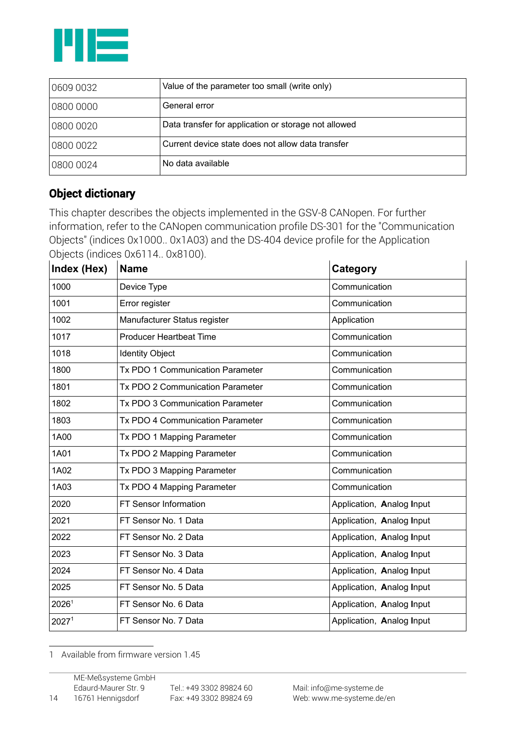

| 0609 0032 | Value of the parameter too small (write only)        |
|-----------|------------------------------------------------------|
| 0800 0000 | General error                                        |
| 0800 0020 | Data transfer for application or storage not allowed |
| 0800 0022 | Current device state does not allow data transfer    |
| 0800 0024 | No data available                                    |

# Object dictionary

This chapter describes the objects implemented in the GSV-8 CANopen. For further information, refer to the CANopen communication profile DS-301 for the "Communication Objects" (indices 0x1000.. 0x1A03) and the DS-404 device profile for the Application Objects (indices 0x6114.. 0x8100).

| Index (Hex)       | <b>Name</b>                             | Category                  |
|-------------------|-----------------------------------------|---------------------------|
| 1000              | Device Type                             | Communication             |
| 1001              | Error register                          | Communication             |
| 1002              | Manufacturer Status register            | Application               |
| 1017              | <b>Producer Heartbeat Time</b>          | Communication             |
| 1018              | <b>Identity Object</b>                  | Communication             |
| 1800              | Tx PDO 1 Communication Parameter        | Communication             |
| 1801              | Tx PDO 2 Communication Parameter        | Communication             |
| 1802              | Tx PDO 3 Communication Parameter        | Communication             |
| 1803              | <b>Tx PDO 4 Communication Parameter</b> | Communication             |
| 1A00              | Tx PDO 1 Mapping Parameter              | Communication             |
| 1A01              | Tx PDO 2 Mapping Parameter              | Communication             |
| 1A02              | Tx PDO 3 Mapping Parameter              | Communication             |
| 1A03              | Tx PDO 4 Mapping Parameter              | Communication             |
| 2020              | FT Sensor Information                   | Application, Analog Input |
| 2021              | FT Sensor No. 1 Data                    | Application, Analog Input |
| 2022              | FT Sensor No. 2 Data                    | Application, Analog Input |
| 2023              | FT Sensor No. 3 Data                    | Application, Analog Input |
| 2024              | FT Sensor No. 4 Data                    | Application, Analog Input |
| 2025              | FT Sensor No. 5 Data                    | Application, Analog Input |
| 20261             | FT Sensor No. 6 Data                    | Application, Analog Input |
| 2027 <sup>1</sup> | FT Sensor No. 7 Data                    | Application, Analog Input |

<span id="page-13-0"></span>1 Available from firmware version 1.45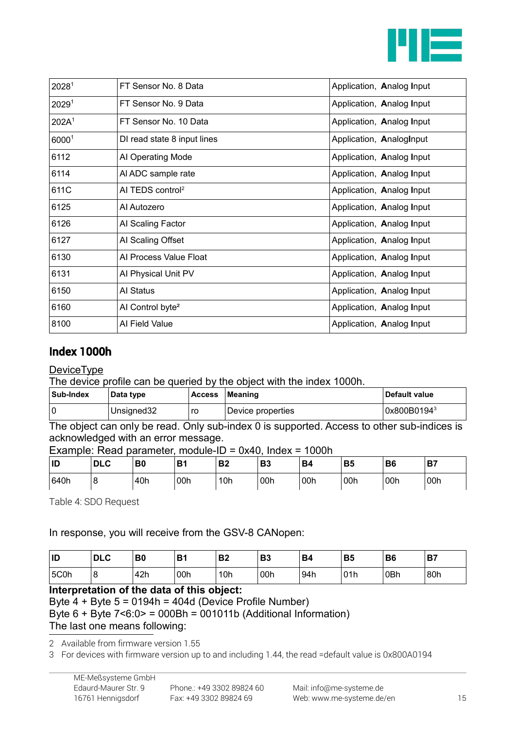

| 20281             | FT Sensor No. 8 Data         | Application, Analog Input |
|-------------------|------------------------------|---------------------------|
| 2029 <sup>1</sup> | FT Sensor No. 9 Data         | Application, Analog Input |
| 202A <sup>1</sup> | FT Sensor No. 10 Data        | Application, Analog Input |
| 60001             | DI read state 8 input lines  | Application, AnalogInput  |
| 6112              | Al Operating Mode            | Application, Analog Input |
| 6114              | Al ADC sample rate           | Application, Analog Input |
| 611C              | AI TEDS control <sup>2</sup> | Application, Analog Input |
| 6125              | Al Autozero                  | Application, Analog Input |
| 6126              | Al Scaling Factor            | Application, Analog Input |
| 6127              | AI Scaling Offset            | Application, Analog Input |
| 6130              | Al Process Value Float       | Application, Analog Input |
| 6131              | Al Physical Unit PV          | Application, Analog Input |
| 6150              | Al Status                    | Application, Analog Input |
| 6160              | Al Control byte <sup>2</sup> | Application, Analog Input |
| 8100              | Al Field Value               | Application, Analog Input |

# Index 1000h

#### **DeviceType**

The device profile can be queried by the object with the index 1000h.

| Sub-Index | Data type  | <b>Access</b> | Meaning           | ∣ Default value |
|-----------|------------|---------------|-------------------|-----------------|
|           | Unsigned32 | ro            | Device properties | 0x800B01943     |

The object can only be read. Only sub-index 0 is supported. Access to other sub-indices is acknowledged with an error message.

Example: Read parameter, module-ID = 0x40, Index = 1000h

| ID   | . n'<br>$\sqrt{2}$<br>יבע | B0  | <b>B1</b> | D0<br>DZ        | D9<br>DЈ | <b>B4</b> | <b>B5</b>      | B6  | B <sub>7</sub> |
|------|---------------------------|-----|-----------|-----------------|----------|-----------|----------------|-----|----------------|
| 640h | c<br>O                    | 40h | 00h       | 10 <sub>h</sub> | 00h      | 00h       | $^{\circ}$ 00h | 00h | 00h            |

<span id="page-14-0"></span>Table 4: SDO Request

#### In response, you will receive from the GSV-8 CANopen:

| ID   | <b>DLC</b> | B <sub>0</sub> | B <sub>1</sub> | n0<br>D4        | D0<br>نە     | <b>B4</b> | <b>B5</b> | <b>B6</b> | D7<br>D, |
|------|------------|----------------|----------------|-----------------|--------------|-----------|-----------|-----------|----------|
| 5C0h | 8          | 42h            | 00h            | 10 <sub>h</sub> | $\delta$ 00h | 94h       | 01h       | 0Bh       | 80h      |

#### **Interpretation of the data of this object:**

```
Byte 4 + Byte 5 = 0194h = 404d (Device Profile Number)
```
Byte  $6 +$  Byte  $7 < 6.0$  = 000Bh = 001011b (Additional Information) The last one means following:

<span id="page-14-1"></span>2 Available from firmware version 1.55

<span id="page-14-2"></span>3 For devices with firmware version up to and including 1.44, the read =default value is 0x800A0194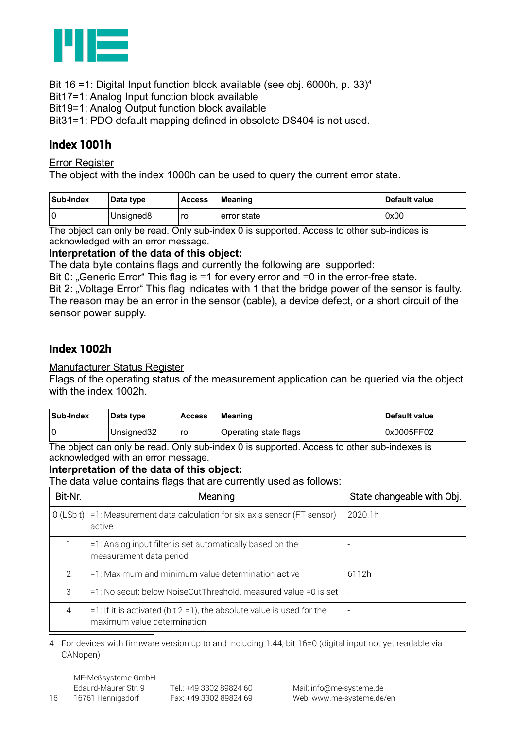

Bit 16 =1: Digital Input function block available (see obj. 6000h, p. [33\)](#page-32-0)<sup>[4](#page-15-0)</sup>

Bit17=1: Analog Input function block available

Bit19=1: Analog Output function block available

Bit31=1: PDO default mapping defined in obsolete DS404 is not used.

# Index 1001h

Error Register

The object with the index 1000h can be used to query the current error state.

| Sub-Index | Data type | <b>Access</b> | Meaning      | Default value |
|-----------|-----------|---------------|--------------|---------------|
|           | Unsigned8 | ro            | ⊧error state | 0x00          |

The object can only be read. Only sub-index 0 is supported. Access to other sub-indices is acknowledged with an error message.

#### **Interpretation of the data of this object:**

The data byte contains flags and currently the following are supported:

Bit 0: "Generic Error" This flag is  $=1$  for every error and  $=0$  in the error-free state.

Bit 2: "Voltage Error" This flag indicates with 1 that the bridge power of the sensor is faulty. The reason may be an error in the sensor (cable), a device defect, or a short circuit of the sensor power supply.

# Index 1002h

Manufacturer Status Register

Flags of the operating status of the measurement application can be queried via the object with the index 1002h.

| ∣Sub-Index | Data type  | <b>Access</b> | Meaning               | Default value |
|------------|------------|---------------|-----------------------|---------------|
|            | Unsigned32 | ro            | Operating state flags | 0x0005FF02    |

The object can only be read. Only sub-index 0 is supported. Access to other sub-indexes is acknowledged with an error message.

#### **Interpretation of the data of this object:**

The data value contains flags that are currently used as follows:

| Bit-Nr.       | Meaning                                                                                                  | State changeable with Obj. |
|---------------|----------------------------------------------------------------------------------------------------------|----------------------------|
| $O$ (LSbit)   | $=1$ : Measurement data calculation for six-axis sensor (FT sensor)<br>active                            | 2020.1h                    |
|               | =1: Analog input filter is set automatically based on the<br>measurement data period                     |                            |
| $\mathcal{P}$ | =1: Maximum and minimum value determination active                                                       | 6112h                      |
| 3             | =1: Noisecut: below NoiseCutThreshold, measured value =0 is set                                          | $\overline{\phantom{a}}$   |
| 4             | $=1$ : If it is activated (bit 2 = 1), the absolute value is used for the<br>maximum value determination | ٠                          |

<span id="page-15-0"></span>4 For devices with firmware version up to and including 1.44, bit 16=0 (digital input not yet readable via CANopen)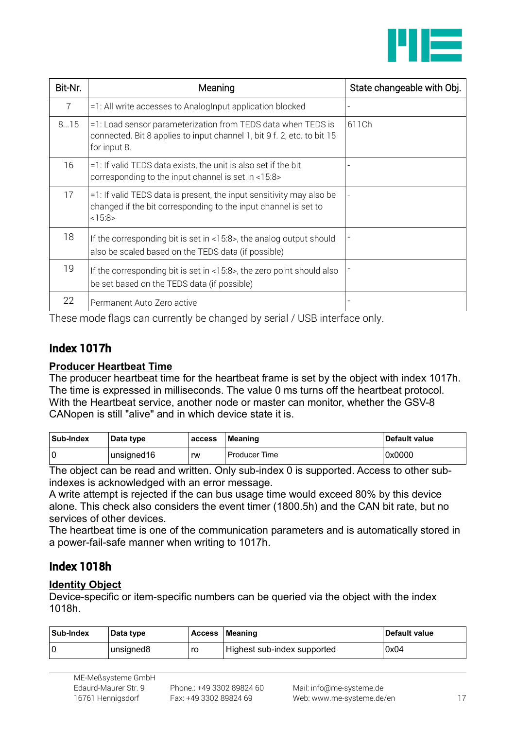

| Bit-Nr. | Meaning                                                                                                                                                 | State changeable with Obj. |
|---------|---------------------------------------------------------------------------------------------------------------------------------------------------------|----------------------------|
| 7       | =1: All write accesses to AnalogInput application blocked                                                                                               |                            |
| 815     | =1: Load sensor parameterization from TEDS data when TEDS is<br>connected. Bit 8 applies to input channel 1, bit 9 f. 2, etc. to bit 15<br>for input 8. | 611Ch                      |
| 16      | =1: If valid TEDS data exists, the unit is also set if the bit<br>corresponding to the input channel is set in <15:8>                                   |                            |
| 17      | $=1$ : If valid TEDS data is present, the input sensitivity may also be<br>changed if the bit corresponding to the input channel is set to<br><15:8>    |                            |
| 18      | If the corresponding bit is set in $<15.8>$ , the analog output should<br>also be scaled based on the TEDS data (if possible)                           |                            |
| 19      | If the corresponding bit is set in <15:8>, the zero point should also<br>be set based on the TEDS data (if possible)                                    |                            |
| 22      | Permanent Auto-Zero active                                                                                                                              |                            |

These mode flags can currently be changed by serial / USB interface only.

# <span id="page-16-0"></span>Index 1017h

#### **Producer Heartbeat Time**

The producer heartbeat time for the heartbeat frame is set by the object with index 1017h. The time is expressed in milliseconds. The value 0 ms turns off the heartbeat protocol. With the Heartbeat service, another node or master can monitor, whether the GSV-8 CANopen is still "alive" and in which device state it is.

| Sub-Index | Data type   | access | <b>Meaning</b> | <b>Default value</b> |
|-----------|-------------|--------|----------------|----------------------|
|           | unsigned16" | rw     | Producer Time  | 0x0000               |

The object can be read and written. Only sub-index 0 is supported. Access to other subindexes is acknowledged with an error message.

A write attempt is rejected if the can bus usage time would exceed 80% by this device alone. This check also considers the event timer (1800.5h) and the CAN bit rate, but no services of other devices.

The heartbeat time is one of the communication parameters and is automatically stored in a power-fail-safe manner when writing to 1017h.

# Index 1018h

#### **Identity Object**

Device-specific or item-specific numbers can be queried via the object with the index 1018h.

| Sub-Index | Data type | Access | Meaning                     | ∣ Default value |
|-----------|-----------|--------|-----------------------------|-----------------|
|           | unsigned8 | ro     | Highest sub-index supported | 0x04            |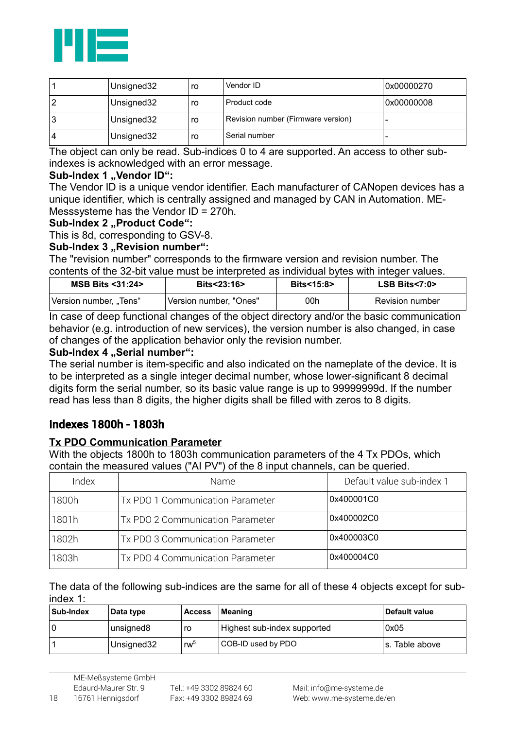

| Unsigned32 | ro | Vendor ID                          | 0x00000270 |
|------------|----|------------------------------------|------------|
| Unsigned32 | ro | Product code                       | 0x00000008 |
| Unsigned32 | ro | Revision number (Firmware version) |            |
| Unsigned32 | ro | Serial number                      |            |

The object can only be read. Sub-indices 0 to 4 are supported. An access to other subindexes is acknowledged with an error message.

#### Sub-Index 1 .. Vendor ID":

The Vendor ID is a unique vendor identifier. Each manufacturer of CANopen devices has a unique identifier, which is centrally assigned and managed by CAN in Automation. ME-Messsysteme has the Vendor ID = 270h.

#### Sub-Index 2 ..Product Code":

This is 8d, corresponding to GSV-8.

#### **Sub-Index 3 .. Revision number":**

The "revision number" corresponds to the firmware version and revision number. The contents of the 32-bit value must be interpreted as individual bytes with integer values.

| MSB Bits <31:24>       | <b>Bits&lt;23:16&gt;</b> | <b>Bits&lt;15:8&gt;</b> | $LSB \; Bits < 7:0$ |
|------------------------|--------------------------|-------------------------|---------------------|
| Version number, "Tens" | Version number. "Ones"   | 00h                     | Revision number     |

In case of deep functional changes of the object directory and/or the basic communication behavior (e.g. introduction of new services), the version number is also changed, in case of changes of the application behavior only the revision number.

#### Sub-Index 4 "Serial number":

The serial number is item-specific and also indicated on the nameplate of the device. It is to be interpreted as a single integer decimal number, whose lower-significant 8 decimal digits form the serial number, so its basic value range is up to 99999999d. If the number read has less than 8 digits, the higher digits shall be filled with zeros to 8 digits.

### Indexes 1800h - 1803h

#### **Tx PDO Communication Parameter**

With the objects 1800h to 1803h communication parameters of the 4 Tx PDOs, which contain the measured values ("AI PV") of the 8 input channels, can be queried.

| Index | Name                             | Default value sub-index 1 |
|-------|----------------------------------|---------------------------|
| 1800h | Tx PDO 1 Communication Parameter | 0x400001C0                |
| 1801h | Tx PDO 2 Communication Parameter | 0x400002C0                |
| 1802h | Tx PDO 3 Communication Parameter | 0x400003C0                |
| 1803h | Tx PDO 4 Communication Parameter | 0x400004C0                |

The data of the following sub-indices are the same for all of these 4 objects except for subindex 1:

| Sub-Index | Data type             | <b>Access</b>   | Meaning                     | ∣ Default value |
|-----------|-----------------------|-----------------|-----------------------------|-----------------|
|           | unsigned <sub>8</sub> | ro              | Highest sub-index supported | 0x05            |
|           | Unsigned 32           | rw <sup>5</sup> | COB-ID used by PDO          | ls. Table above |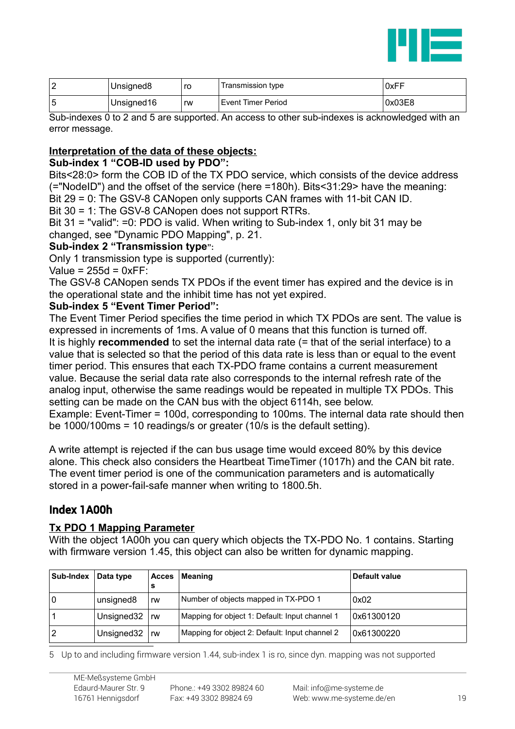

| $\sqrt{2}$ | Unsigned8  | ro | Transmission type  | 0xFF   |
|------------|------------|----|--------------------|--------|
| ∽          | Unsigned16 | rw | Event Timer Period | 0x03E8 |

Sub-indexes 0 to 2 and 5 are supported. An access to other sub-indexes is acknowledged with an error message.

#### **Interpretation of the data of these objects:**

#### **Sub-index 1 "COB-ID used by PDO":**

Bits<28:0> form the COB ID of the TX PDO service, which consists of the device address (="NodeID") and the offset of the service (here =180h). Bits<31:29> have the meaning: Bit 29 = 0: The GSV-8 CANopen only supports CAN frames with 11-bit CAN ID.

Bit 30 = 1: The GSV-8 CANopen does not support RTRs.

Bit 31 = "valid": =0: PDO is valid. When writing to Sub-index 1, only bit 31 may be changed, see "Dynamic PDO Mapping", p. [21.](#page-20-0)

#### **Sub-index 2 "Transmission type":**

Only 1 transmission type is supported (currently):

Value =  $255d = 0xFF$ :

The GSV-8 CANopen sends TX PDOs if the event timer has expired and the device is in the operational state and the inhibit time has not yet expired.

#### **Sub-index 5 "Event Timer Period":**

The Event Timer Period specifies the time period in which TX PDOs are sent. The value is expressed in increments of 1ms. A value of 0 means that this function is turned off. It is highly **recommended** to set the internal data rate (= that of the serial interface) to a value that is selected so that the period of this data rate is less than or equal to the event timer period. This ensures that each TX-PDO frame contains a current measurement value. Because the serial data rate also corresponds to the internal refresh rate of the analog input, otherwise the same readings would be repeated in multiple TX PDOs. This setting can be made on the CAN bus with the object 6114h, see below.

Example: Event-Timer = 100d, corresponding to 100ms. The internal data rate should then be 1000/100ms = 10 readings/s or greater (10/s is the default setting).

A write attempt is rejected if the can bus usage time would exceed 80% by this device alone. This check also considers the Heartbeat TimeTimer (1017h) and the CAN bit rate. The event timer period is one of the communication parameters and is automatically stored in a power-fail-safe manner when writing to 1800.5h.

### Index 1A00h

#### **Tx PDO 1 Mapping Parameter**

With the object 1A00h you can query which objects the TX-PDO No. 1 contains. Starting with firmware version 1.45, this object can also be written for dynamic mapping.

| Sub-Index | Data type  | <b>Acces</b><br>s | Meaning                                        | Default value |
|-----------|------------|-------------------|------------------------------------------------|---------------|
| 0         | unsigned8  | rw                | Number of objects mapped in TX-PDO 1           | 0x02          |
|           | Unsigned32 | ⊪rw               | Mapping for object 1: Default: Input channel 1 | 0x61300120    |
|           | Unsigned32 | rw                | Mapping for object 2: Default: Input channel 2 | 0x61300220    |

<span id="page-18-0"></span>5 Up to and including firmware version 1.44, sub-index 1 is ro, since dyn. mapping was not supported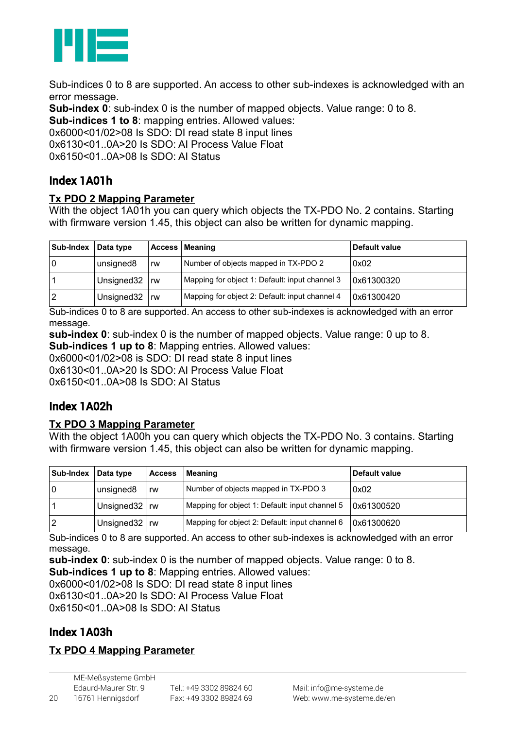

Sub-indices 0 to 8 are supported. An access to other sub-indexes is acknowledged with an error message.

**Sub-index 0**: sub-index 0 is the number of mapped objects. Value range: 0 to 8.

**Sub-indices 1 to 8**: mapping entries. Allowed values:

0x6000<01/02>08 Is SDO: DI read state 8 input lines

0x6130<01..0A>20 Is SDO: AI Process Value Float

 $0x6150<01$ .  $0A>08$  Is SDO: AI Status

# Index 1A01h

#### **Tx PDO 2 Mapping Parameter**

With the object 1A01h you can query which objects the TX-PDO No. 2 contains. Starting with firmware version 1.45, this object can also be written for dynamic mapping.

| Sub-Index | Data type  |                 | <b>Access Meaning</b>                          | Default value |
|-----------|------------|-----------------|------------------------------------------------|---------------|
| 0         | unsigned8  | rw              | Number of objects mapped in TX-PDO 2           | 0x02          |
|           | Unsigned32 | <sub>i</sub> rw | Mapping for object 1: Default: input channel 3 | 0x61300320    |
|           | Unsigned32 | rw              | Mapping for object 2: Default: input channel 4 | 0x61300420    |

Sub-indices 0 to 8 are supported. An access to other sub-indexes is acknowledged with an error message.

**sub-index 0**: sub-index 0 is the number of mapped objects. Value range: 0 up to 8. **Sub-indices 1 up to 8**: Mapping entries. Allowed values:

0x6000<01/02>08 is SDO: DI read state 8 input lines

0x6130<01..0A>20 Is SDO: AI Process Value Float

0x6150<01..0A>08 Is SDO: AI Status

# Index 1A02h

#### **Tx PDO 3 Mapping Parameter**

With the object 1A00h you can query which objects the TX-PDO No. 3 contains. Starting with firmware version 1.45, this object can also be written for dynamic mapping.

| Sub-Index | Data type             | <b>Access</b> | Meaning                                        | Default value |
|-----------|-----------------------|---------------|------------------------------------------------|---------------|
|           | unsigned8             | rw            | Number of objects mapped in TX-PDO 3           | 0x02          |
|           | Unsigned $32 \mid rw$ |               | Mapping for object 1: Default: input channel 5 | 0x61300520    |
|           | Unsigned $32 \mid rw$ |               | Mapping for object 2: Default: input channel 6 | 0x61300620    |

Sub-indices 0 to 8 are supported. An access to other sub-indexes is acknowledged with an error message.

**sub-index 0**: sub-index 0 is the number of mapped objects. Value range: 0 to 8. **Sub-indices 1 up to 8**: Mapping entries. Allowed values: 0x6000<01/02>08 Is SDO: DI read state 8 input lines 0x6130<01..0A>20 Is SDO: AI Process Value Float  $0x6150<01$ .  $0A>08$  Is SDO: AI Status

# Index 1A03h

### **Tx PDO 4 Mapping Parameter**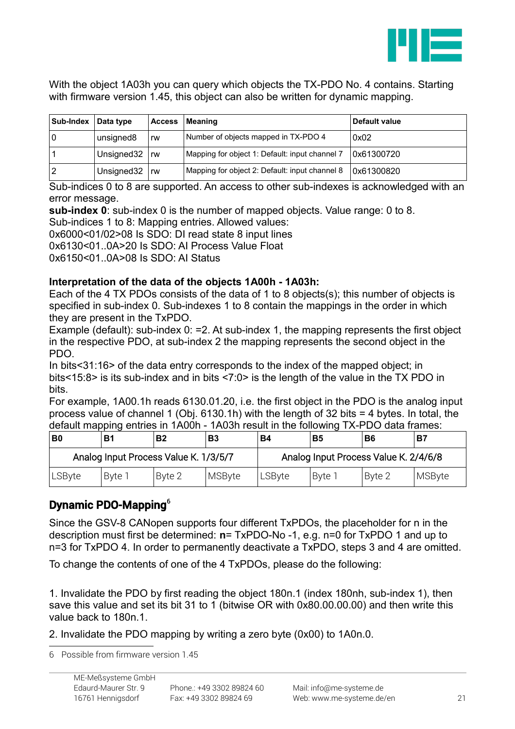

With the object 1A03h you can query which objects the TX-PDO No. 4 contains. Starting with firmware version 1.45, this object can also be written for dynamic mapping.

| Sub-Index | Data type  | <b>Access</b> | Meaning                                        | Default value |
|-----------|------------|---------------|------------------------------------------------|---------------|
|           | unsigned8  | rw            | Number of objects mapped in TX-PDO 4           | 0x02          |
|           | Unsigned32 | .rw           | Mapping for object 1: Default: input channel 7 | 0x61300720    |
|           | Unsigned32 | rw            | Mapping for object 2: Default: input channel 8 | 0x61300820    |

Sub-indices 0 to 8 are supported. An access to other sub-indexes is acknowledged with an error message.

**sub-index 0**: sub-index 0 is the number of mapped objects. Value range: 0 to 8.

Sub-indices 1 to 8: Mapping entries. Allowed values:

0x6000<01/02>08 Is SDO: DI read state 8 input lines

0x6130<01..0A>20 Is SDO: AI Process Value Float

 $0x6150<01$ .  $0A>08$  Is SDO: AI Status

#### **Interpretation of the data of the objects 1A00h - 1A03h:**

Each of the 4 TX PDOs consists of the data of 1 to 8 objects(s); this number of objects is specified in sub-index 0. Sub-indexes 1 to 8 contain the mappings in the order in which they are present in the TxPDO.

Example (default): sub-index 0: =2. At sub-index 1, the mapping represents the first object in the respective PDO, at sub-index 2 the mapping represents the second object in the PDO.

In bits<31:16> of the data entry corresponds to the index of the mapped object; in bits<15:8> is its sub-index and in bits <7:0> is the length of the value in the TX PDO in bits.

For example, 1A00.1h reads 6130.01.20, i.e. the first object in the PDO is the analog input process value of channel 1 (Obj. 6130.1h) with the length of 32 bits = 4 bytes. In total, the default mapping entries in 1A00h - 1A03h result in the following TX-PDO data frames:

| B0                                    | B      | <b>B2</b> | <b>B3</b>     | <b>B4</b>                             | <b>B5</b> | Β6     | <b>B7</b> |
|---------------------------------------|--------|-----------|---------------|---------------------------------------|-----------|--------|-----------|
| Analog Input Process Value K. 1/3/5/7 |        |           |               | Analog Input Process Value K. 2/4/6/8 |           |        |           |
| LSByte                                | Byte 1 | Byte 2    | <b>MSByte</b> | LSBvte                                | Bvte 1    | Byte 2 | MSByte    |

# <span id="page-20-0"></span>Dynamic PDO-Mapping[6](#page-20-1)

Since the GSV-8 CANopen supports four different TxPDOs, the placeholder for n in the description must first be determined: **n**= TxPDO-No -1, e.g. n=0 for TxPDO 1 and up to n=3 for TxPDO 4. In order to permanently deactivate a TxPDO, steps 3 and 4 are omitted.

To change the contents of one of the 4 TxPDOs, please do the following:

1. Invalidate the PDO by first reading the object 180n.1 (index 180nh, sub-index 1), then save this value and set its bit 31 to 1 (bitwise OR with 0x80.00.00.00) and then write this value back to 180n.1.

2. Invalidate the PDO mapping by writing a zero byte (0x00) to 1A0n.0.

<span id="page-20-1"></span>6 Possible from firmware version 1.45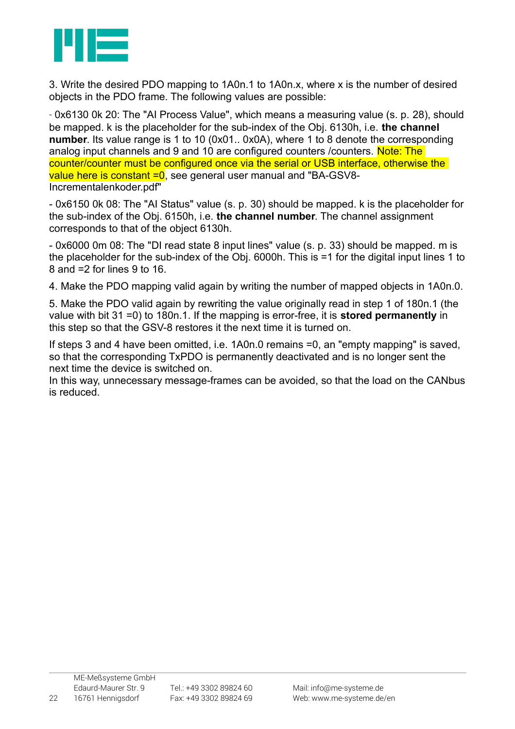

3. Write the desired PDO mapping to 1A0n.1 to 1A0n.x, where x is the number of desired objects in the PDO frame. The following values are possible:

- 0x6130 0k 20: The "AI Process Value", which means a measuring value (s. p. [28\)](#page-27-0), should be mapped. k is the placeholder for the sub-index of the Obj. 6130h, i.e. **the channel number**. Its value range is 1 to 10 (0x01.. 0x0A), where 1 to 8 denote the corresponding analog input channels and 9 and 10 are configured counters / counters. Note: The counter/counter must be configured once via the serial or USB interface, otherwise the value here is constant  $=0$ , see general user manual and "BA-GSV8-Incrementalenkoder.pdf"

- 0x6150 0k 08: The "AI Status" value (s. p. [30\)](#page-29-0) should be mapped. k is the placeholder for the sub-index of the Obj. 6150h, i.e. **the channel number**. The channel assignment corresponds to that of the object 6130h.

- 0x6000 0m 08: The "DI read state 8 input lines" value (s. p. [33\)](#page-32-0) should be mapped. m is the placeholder for the sub-index of the Obj. 6000h. This is =1 for the digital input lines 1 to 8 and =2 for lines 9 to 16.

4. Make the PDO mapping valid again by writing the number of mapped objects in 1A0n.0.

5. Make the PDO valid again by rewriting the value originally read in step 1 of 180n.1 (the value with bit 31 =0) to 180n.1. If the mapping is error-free, it is **stored permanently** in this step so that the GSV-8 restores it the next time it is turned on.

If steps 3 and 4 have been omitted, i.e. 1A0n.0 remains =0, an "empty mapping" is saved, so that the corresponding TxPDO is permanently deactivated and is no longer sent the next time the device is switched on.

In this way, unnecessary message-frames can be avoided, so that the load on the CANbus is reduced.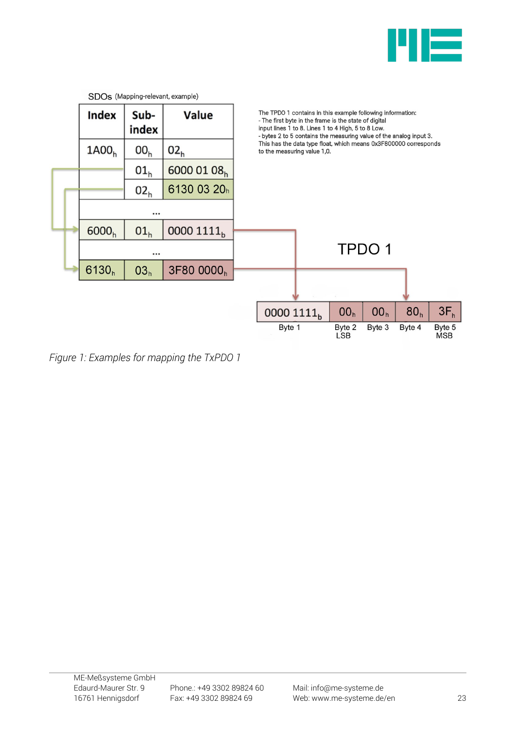



*Figure 1: Examples for mapping the TxPDO 1*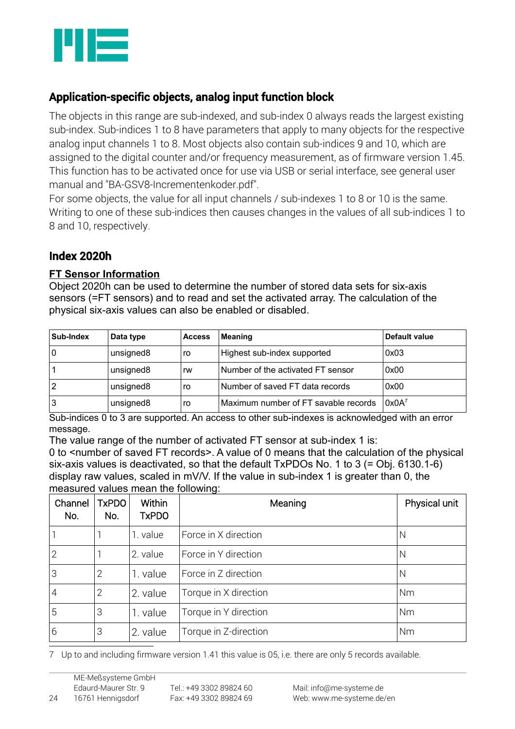

# Application-specific objects, analog input function block

The objects in this range are sub-indexed, and sub-index 0 always reads the largest existing sub-index. Sub-indices 1 to 8 have parameters that apply to many objects for the respective analog input channels 1 to 8. Most objects also contain sub-indices 9 and 10, which are assigned to the digital counter and/or frequency measurement, as of firmware version 1.45. This function has to be activated once for use via USB or serial interface, see general user manual and "BA-GSV8-Incrementenkoder.pdf".

For some objects, the value for all input channels / sub-indexes 1 to 8 or 10 is the same. Writing to one of these sub-indices then causes changes in the values of all sub-indices 1 to 8 and 10, respectively.

### Index 2020h

#### **FT Sensor Information**

Object 2020h can be used to determine the number of stored data sets for six-axis sensors (=FT sensors) and to read and set the activated array. The calculation of the physical six-axis values can also be enabled or disabled.

| Sub-Index | Data type | <b>Access</b> | <b>Meaning</b>                       | Default value |
|-----------|-----------|---------------|--------------------------------------|---------------|
| 0         | unsigned8 | ro            | Highest sub-index supported          | 0x03          |
|           | unsigned8 | rw            | Number of the activated FT sensor    | 0x00          |
|           | unsigned8 | ro            | Number of saved FT data records      | 0x00          |
| 3         | unsigned8 | ro            | Maximum number of FT savable records | $0x0A^7$      |

Sub-indices 0 to 3 are supported. An access to other sub-indexes is acknowledged with an error message.

The value range of the number of activated FT sensor at sub-index 1 is:

0 to <number of saved FT records>. A value of 0 means that the calculation of the physical six-axis values is deactivated, so that the default TxPDOs No. 1 to 3 (= Obj. 6130.1-6) display raw values, scaled in mV/V. If the value in sub-index 1 is greater than 0, the measured values mean the following:

| Channel<br>No. | <b>TxPDO</b><br>No. | <b>Within</b><br><b>TxPDO</b> | Meaning               | Physical unit |
|----------------|---------------------|-------------------------------|-----------------------|---------------|
|                |                     | 1. value                      | Force in X direction  | N             |
| $\overline{2}$ |                     | 2. value                      | Force in Y direction  | N             |
| 3              | $\overline{2}$      | 1. value                      | Force in Z direction  | N             |
| $\overline{4}$ | $\overline{2}$      | 2. value                      | Torque in X direction | Nm            |
| 5              | 3                   | 1. value                      | Torque in Y direction | Nm            |
| 6              | 3                   | 2. value                      | Torque in Z-direction | Nm            |

<span id="page-23-0"></span>7 Up to and including firmware version 1.41 this value is 05, i.e. there are only 5 records available.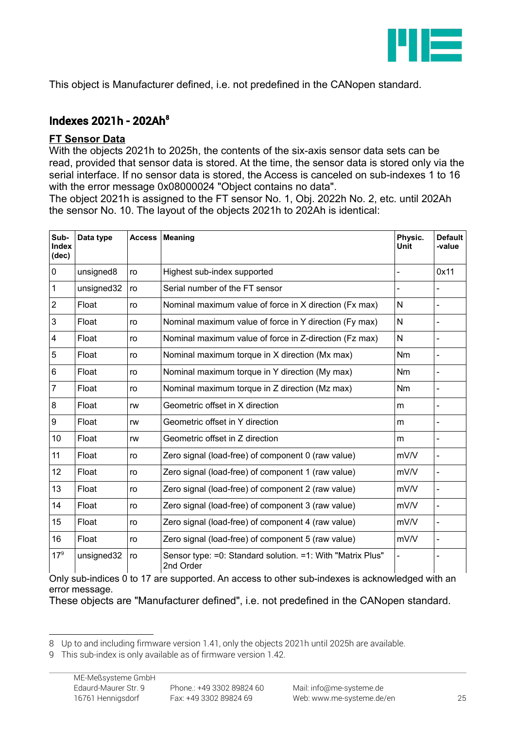

This object is Manufacturer defined, i.e. not predefined in the CANopen standard.

## Indexes 2021h - 202Ah[8](#page-24-0)

#### **FT Sensor Data**

With the objects 2021h to 2025h, the contents of the six-axis sensor data sets can be read, provided that sensor data is stored. At the time, the sensor data is stored only via the serial interface. If no sensor data is stored, the Access is canceled on sub-indexes 1 to 16 with the error message 0x08000024 "Object contains no data".

The object 2021h is assigned to the FT sensor No. 1, Obj. 2022h No. 2, etc. until 202Ah the sensor No. 10. The layout of the objects 2021h to 202Ah is identical:

| Sub-<br><b>Index</b><br>(dec) | Data type  | <b>Access</b> | <b>Meaning</b>                                                          | Physic.<br>Unit | <b>Default</b><br>-value     |
|-------------------------------|------------|---------------|-------------------------------------------------------------------------|-----------------|------------------------------|
| $\pmb{0}$                     | unsigned8  | ro            | Highest sub-index supported                                             | ÷               | 0x11                         |
| $\mathbf{1}$                  | unsigned32 | ro            | Serial number of the FT sensor                                          |                 |                              |
| $\overline{2}$                | Float      | ro            | Nominal maximum value of force in X direction (Fx max)                  | N               | $\blacksquare$               |
| 3                             | Float      | ro            | Nominal maximum value of force in Y direction (Fy max)                  | N               | $\blacksquare$               |
| $\overline{\mathbf{4}}$       | Float      | ro            | Nominal maximum value of force in Z-direction (Fz max)                  | N               |                              |
| 5                             | Float      | ro            | Nominal maximum torque in X direction (Mx max)                          | <b>Nm</b>       | $\blacksquare$               |
| $\,6\,$                       | Float      | ro            | Nominal maximum torque in Y direction (My max)                          | Nm              |                              |
| $\overline{7}$                | Float      | ro            | Nominal maximum torque in Z direction (Mz max)                          | Nm              | $\overline{\phantom{0}}$     |
| 8                             | Float      | rw            | Geometric offset in X direction                                         | m               | $\overline{\phantom{0}}$     |
| 9                             | Float      | rw            | Geometric offset in Y direction                                         | m               | $\qquad \qquad \blacksquare$ |
| 10                            | Float      | rw            | Geometric offset in Z direction                                         | m               | $\qquad \qquad \blacksquare$ |
| 11                            | Float      | ro            | Zero signal (load-free) of component 0 (raw value)                      | mV/V            | $\blacksquare$               |
| 12                            | Float      | ro            | Zero signal (load-free) of component 1 (raw value)                      | mV/V            |                              |
| 13                            | Float      | ro            | Zero signal (load-free) of component 2 (raw value)                      | mV/V            | $\frac{1}{2}$                |
| 14                            | Float      | ro            | Zero signal (load-free) of component 3 (raw value)                      | mV/V            |                              |
| 15                            | Float      | ro            | Zero signal (load-free) of component 4 (raw value)                      | mV/V            | $\overline{\phantom{0}}$     |
| 16                            | Float      | ro            | Zero signal (load-free) of component 5 (raw value)                      | mV/V            |                              |
| $17^{9}$                      | unsigned32 | ro            | Sensor type: =0: Standard solution. =1: With "Matrix Plus"<br>2nd Order |                 |                              |

Only sub-indices 0 to 17 are supported. An access to other sub-indexes is acknowledged with an error message.

These objects are "Manufacturer defined", i.e. not predefined in the CANopen standard.

<span id="page-24-0"></span><sup>8</sup> Up to and including firmware version 1.41, only the objects 2021h until 2025h are available.

<span id="page-24-1"></span><sup>9</sup> This sub-index is only available as of firmware version 1.42.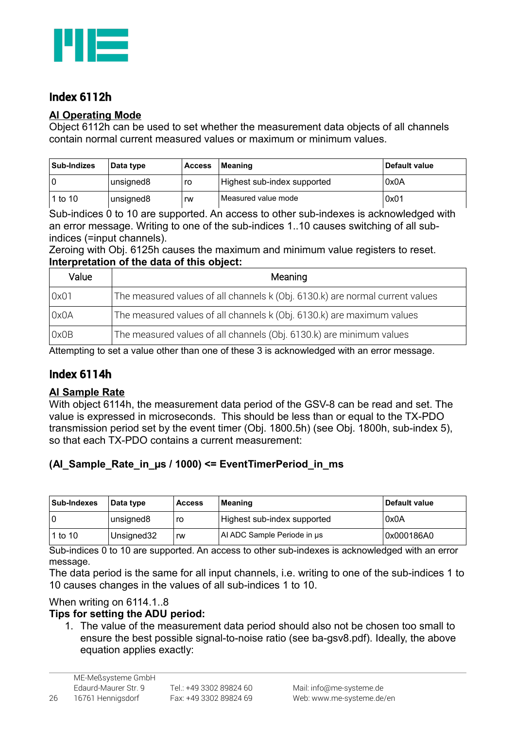

# Index 6112h

#### **Al Operating Mode**

Object 6112h can be used to set whether the measurement data objects of all channels contain normal current measured values or maximum or minimum values.

| <b>Sub-Indizes</b> | Data type | <b>Access</b> | Meaning                     | Default value |
|--------------------|-----------|---------------|-----------------------------|---------------|
|                    | unsigned8 | ro            | Highest sub-index supported | 0x0A          |
| 1 to 10            | unsigned8 | rw            | Measured value mode         | 0x01          |

Sub-indices 0 to 10 are supported. An access to other sub-indexes is acknowledged with an error message. Writing to one of the sub-indices 1..10 causes switching of all subindices (=input channels).

Zeroing with Obj. 6125h causes the maximum and minimum value registers to reset. **Interpretation of the data of this object:**

| Value | Meaning                                                                       |
|-------|-------------------------------------------------------------------------------|
| 0x01  | The measured values of all channels k (Obj. 6130.k) are normal current values |
| 0x0A  | The measured values of all channels k (Obj. 6130.k) are maximum values        |
| 0x0B  | The measured values of all channels (Obj. 6130.k) are minimum values          |

Attempting to set a value other than one of these 3 is acknowledged with an error message.

### Index 6114h

#### **Al Sample Rate**

With object 6114h, the measurement data period of the GSV-8 can be read and set. The value is expressed in microseconds. This should be less than or equal to the TX-PDO transmission period set by the event timer (Obj. 1800.5h) (see Obj. 1800h, sub-index 5), so that each TX-PDO contains a current measurement:

#### **(AI\_Sample\_Rate\_in\_µs / 1000) <= EventTimerPeriod\_in\_ms**

| <b>Sub-Indexes</b> | Data type   | <b>Access</b> | <b>Meaning</b>              | Default value |
|--------------------|-------------|---------------|-----------------------------|---------------|
|                    | unsigned8   | ro            | Highest sub-index supported | 0x0A          |
| 1 to 10            | Unsigned 32 | rw            | Al ADC Sample Periode in us | 0x000186A0    |

Sub-indices 0 to 10 are supported. An access to other sub-indexes is acknowledged with an error message.

The data period is the same for all input channels, i.e. writing to one of the sub-indices 1 to 10 causes changes in the values of all sub-indices 1 to 10.

#### When writing on 6114.1..8

#### **Tips for setting the ADU period:**

1. The value of the measurement data period should also not be chosen too small to ensure the best possible signal-to-noise ratio (see ba-gsv8.pdf). Ideally, the above equation applies exactly: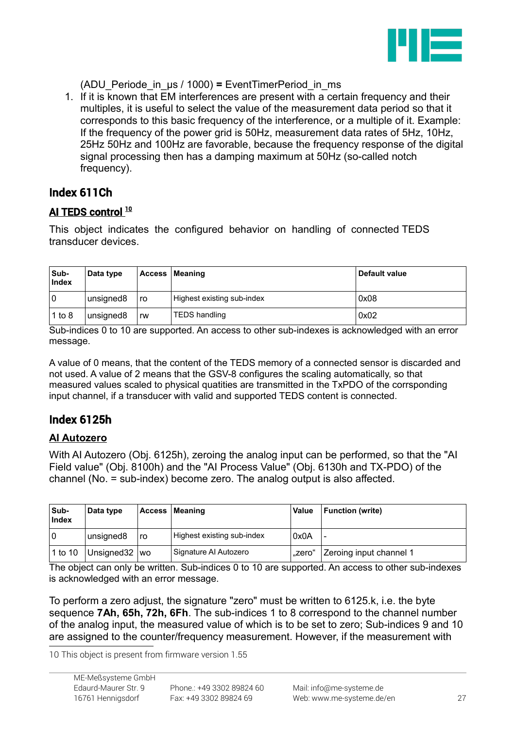

(ADU\_Periode\_in\_µs / 1000) **=** EventTimerPeriod\_in\_ms

1. If it is known that EM interferences are present with a certain frequency and their multiples, it is useful to select the value of the measurement data period so that it corresponds to this basic frequency of the interference, or a multiple of it. Example: If the frequency of the power grid is 50Hz, measurement data rates of 5Hz, 10Hz, 25Hz 50Hz and 100Hz are favorable, because the frequency response of the digital signal processing then has a damping maximum at 50Hz (so-called notch frequency).

# Index 611Ch

### AI TEDS control<sup>[10](#page-26-0)</sup>

This object indicates the configured behavior on handling of connected TEDS transducer devices.

| Sub-<br><b>Index</b> | Data type |    | Access   Meaning           | Default value |
|----------------------|-----------|----|----------------------------|---------------|
| $\Omega$             | unsigned8 | ro | Highest existing sub-index | 0x08          |
| 1 to 8               | unsigned8 | rw | <b>TEDS handling</b>       | 0x02          |

Sub-indices 0 to 10 are supported. An access to other sub-indexes is acknowledged with an error message.

A value of 0 means, that the content of the TEDS memory of a connected sensor is discarded and not used. A value of 2 means that the GSV-8 configures the scaling automatically, so that measured values scaled to physical quatities are transmitted in the TxPDO of the corrsponding input channel, if a transducer with valid and supported TEDS content is connected.

# Index 6125h

### **AI Autozero**

With AI Autozero (Obj. 6125h), zeroing the analog input can be performed, so that the "AI Field value" (Obj. 8100h) and the "AI Process Value" (Obj. 6130h and TX-PDO) of the channel (No. = sub-index) become zero. The analog output is also affected.

| Sub-<br>Index | Data type             |    | <b>Access   Meaning</b>    | <b>Value</b> | Function (write)        |
|---------------|-----------------------|----|----------------------------|--------------|-------------------------|
| $\Omega$      | unsigned <sub>8</sub> | ro | Highest existing sub-index | 0x0A         |                         |
| 1 to 10       | Unsigned 32   wo      |    | Signature Al Autozero      | "zero"       | Zeroing input channel 1 |

The object can only be written. Sub-indices 0 to 10 are supported. An access to other sub-indexes is acknowledged with an error message.

To perform a zero adjust, the signature "zero" must be written to 6125.k, i.e. the byte sequence **7Ah, 65h, 72h, 6Fh**. The sub-indices 1 to 8 correspond to the channel number of the analog input, the measured value of which is to be set to zero; Sub-indices 9 and 10 are assigned to the counter/frequency measurement. However, if the measurement with

<span id="page-26-0"></span>10 This object is present from firmware version 1.55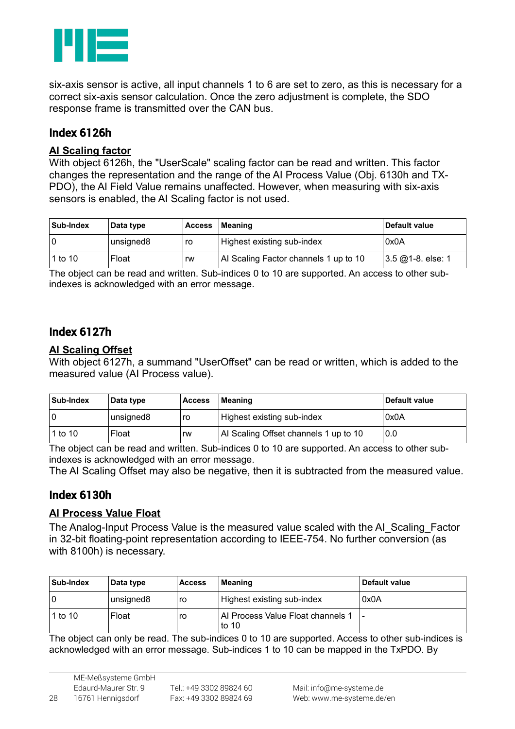

six-axis sensor is active, all input channels 1 to 6 are set to zero, as this is necessary for a correct six-axis sensor calculation. Once the zero adjustment is complete, the SDO response frame is transmitted over the CAN bus.

## Index 6126h

#### **AI Scaling factor**

With object 6126h, the "UserScale" scaling factor can be read and written. This factor changes the representation and the range of the AI Process Value (Obj. 6130h and TX-PDO), the AI Field Value remains unaffected. However, when measuring with six-axis sensors is enabled, the AI Scaling factor is not used.

| Sub-Index | Data type | <b>Access</b> | Meaning                               | Default value             |
|-----------|-----------|---------------|---------------------------------------|---------------------------|
|           | unsigned8 | ro            | Highest existing sub-index            | 0x0A                      |
| 1 to 10   | Float     | rw            | Al Scaling Factor channels 1 up to 10 | $3.5 \omega$ 1-8. else: 1 |

The object can be read and written. Sub-indices 0 to 10 are supported. An access to other subindexes is acknowledged with an error message.

### Index 6127h

#### **AI Scaling Offset**

With object 6127h, a summand "UserOffset" can be read or written, which is added to the measured value (AI Process value).

| Sub-Index | Data type | <b>Access</b> | Meaning                               | Default value |
|-----------|-----------|---------------|---------------------------------------|---------------|
|           | unsigned8 | ro            | Highest existing sub-index            | 0x0A          |
| 1 to 10   | Float     | rw            | Al Scaling Offset channels 1 up to 10 | 0.0           |

The object can be read and written. Sub-indices 0 to 10 are supported. An access to other subindexes is acknowledged with an error message.

The AI Scaling Offset may also be negative, then it is subtracted from the measured value.

### <span id="page-27-0"></span>Index 6130h

#### **AI Process Value Float**

The Analog-Input Process Value is the measured value scaled with the AI\_Scaling\_Factor in 32-bit floating-point representation according to IEEE-754. No further conversion (as with 8100h) is necessary.

| Sub-Index | Data type | <b>Access</b> | Meaning                                      | Default value |
|-----------|-----------|---------------|----------------------------------------------|---------------|
|           | unsigned8 | ro            | Highest existing sub-index                   | 0x0A          |
| 1 to 10   | Float     | ro            | Al Process Value Float channels 1<br>to $10$ | ۰             |

The object can only be read. The sub-indices 0 to 10 are supported. Access to other sub-indices is acknowledged with an error message. Sub-indices 1 to 10 can be mapped in the TxPDO. By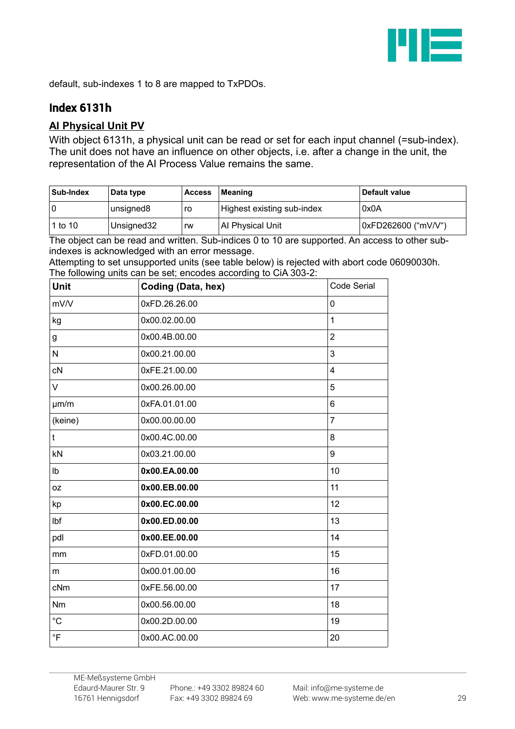

default, sub-indexes 1 to 8 are mapped to TxPDOs.

# Index 6131h

### **AI Physical Unit PV**

With object 6131h, a physical unit can be read or set for each input channel (=sub-index). The unit does not have an influence on other objects, i.e. after a change in the unit, the representation of the AI Process Value remains the same.

| Sub-Index | Data type  | <b>Access</b> | Meaning                    | Default value       |
|-----------|------------|---------------|----------------------------|---------------------|
|           | unsigned8  | ro            | Highest existing sub-index | 0x0A                |
| l 1 to 10 | Unsigned32 | rw            | Al Physical Unit           | 0xFD262600 ("mV/V") |

The object can be read and written. Sub-indices 0 to 10 are supported. An access to other subindexes is acknowledged with an error message.

| Attempting to set unsupported units (see table below) is rejected with abort code 06090030h. |  |  |
|----------------------------------------------------------------------------------------------|--|--|
| The following units can be set; encodes according to CiA 303-2:                              |  |  |

| <b>Unit</b> | Coding (Data, hex) | <b>Code Serial</b>      |
|-------------|--------------------|-------------------------|
| mV/V        | 0xFD.26.26.00      | 0                       |
| kg          | 0x00.02.00.00      | $\mathbf{1}$            |
| g           | 0x00.4B.00.00      | $\overline{2}$          |
| N           | 0x00.21.00.00      | 3                       |
| cN          | 0xFE.21.00.00      | $\overline{\mathbf{4}}$ |
| V           | 0x00.26.00.00      | 5                       |
| µm/m        | 0xFA.01.01.00      | 6                       |
| (keine)     | 0x00.00.00.00      | $\overline{7}$          |
| t           | 0x00.4C.00.00      | 8                       |
| kN          | 0x03.21.00.00      | 9                       |
| Ib          | 0x00.EA.00.00      | 10                      |
| 0Z          | 0x00.EB.00.00      | 11                      |
| kp          | 0x00.EC.00.00      | 12                      |
| Ibf         | 0x00.ED.00.00      | 13                      |
| pdl         | 0x00.EE.00.00      | 14                      |
| mm          | 0xFD.01.00.00      | 15                      |
| m           | 0x00.01.00.00      | 16                      |
| cNm         | 0xFE.56.00.00      | 17                      |
| <b>Nm</b>   | 0x00.56.00.00      | 18                      |
| $^{\circ}C$ | 0x00.2D.00.00      | 19                      |
| $\circ$ F   | 0x00.AC.00.00      | 20                      |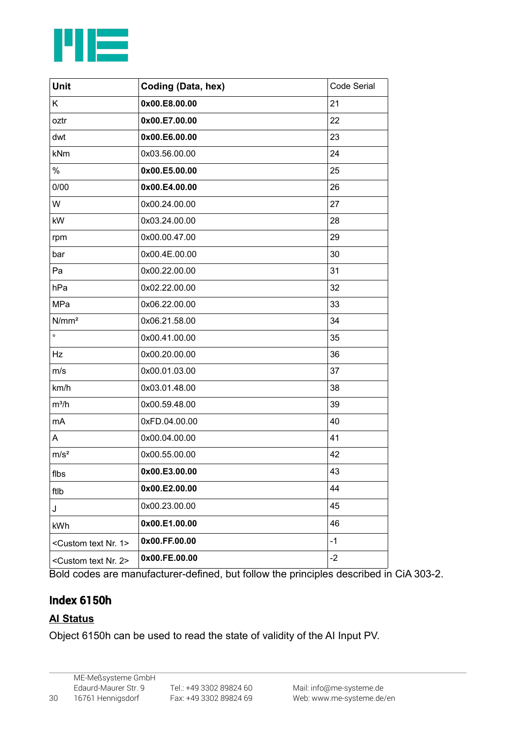

| <b>Unit</b>                           | Coding (Data, hex) | Code Serial |
|---------------------------------------|--------------------|-------------|
| K                                     | 0x00.E8.00.00      | 21          |
| oztr                                  | 0x00.E7.00.00      | 22          |
| dwt                                   | 0x00.E6.00.00      | 23          |
| kNm                                   | 0x03.56.00.00      | 24          |
| $\%$                                  | 0x00.E5.00.00      | 25          |
| 0/00                                  | 0x00.E4.00.00      | 26          |
| W                                     | 0x00.24.00.00      | 27          |
| kW                                    | 0x03.24.00.00      | 28          |
| rpm                                   | 0x00.00.47.00      | 29          |
| bar                                   | 0x00.4E.00.00      | 30          |
| Pa                                    | 0x00.22.00.00      | 31          |
| hPa                                   | 0x02.22.00.00      | 32          |
| MPa                                   | 0x06.22.00.00      | 33          |
| N/mm <sup>2</sup>                     | 0x06.21.58.00      | 34          |
| $\circ$                               | 0x00.41.00.00      | 35          |
| Hz                                    | 0x00.20.00.00      | 36          |
| m/s                                   | 0x00.01.03.00      | 37          |
| km/h                                  | 0x03.01.48.00      | 38          |
| $m^3/h$                               | 0x00.59.48.00      | 39          |
| mA                                    | 0xFD.04.00.00      | 40          |
| A                                     | 0x00.04.00.00      | 41          |
| m/s <sup>2</sup>                      | 0x00.55.00.00      | 42          |
| flbs                                  | 0x00.E3.00.00      | 43          |
| ftlb                                  | 0x00.E2.00.00      | 44          |
| J                                     | 0x00.23.00.00      | 45          |
| kWh                                   | 0x00.E1.00.00      | 46          |
| <custom 1="" nr.="" text=""></custom> | 0x00.FF.00.00      | $-1$        |
| <custom 2="" nr.="" text=""></custom> | 0x00.FE.00.00      | $-2$        |

Bold codes are manufacturer-defined, but follow the principles described in CiA 303-2.

# <span id="page-29-0"></span>Index 6150h

# **AI Status**

Object 6150h can be used to read the state of validity of the AI Input PV.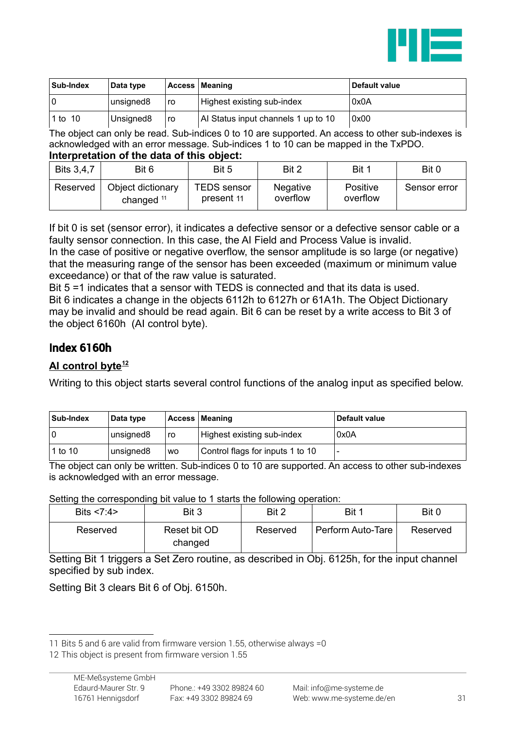

| Sub-Index | Data type             |    | <b>Access   Meaning</b>             | Default value |
|-----------|-----------------------|----|-------------------------------------|---------------|
|           | unsigned8             | ro | Highest existing sub-index          | 0x0A          |
| 1 to 10   | Unsigned <sub>8</sub> | ro | Al Status input channels 1 up to 10 | 0x00          |

The object can only be read. Sub-indices 0 to 10 are supported. An access to other sub-indexes is acknowledged with an error message. Sub-indices 1 to 10 can be mapped in the TxPDO.

#### **Interpretation of the data of this object:**

| <b>Bits 3,4,7</b> | Bit 6                             | Bit 5                            | Bit 2                       | Bit 1                       | Bit 0        |
|-------------------|-----------------------------------|----------------------------------|-----------------------------|-----------------------------|--------------|
| Reserved          | Object dictionary<br>changed $11$ | <b>TEDS</b> sensor<br>present 11 | <b>Negative</b><br>overflow | <b>Positive</b><br>overflow | Sensor error |

If bit 0 is set (sensor error), it indicates a defective sensor or a defective sensor cable or a faulty sensor connection. In this case, the AI Field and Process Value is invalid.

In the case of positive or negative overflow, the sensor amplitude is so large (or negative) that the measuring range of the sensor has been exceeded (maximum or minimum value exceedance) or that of the raw value is saturated.

Bit 5 =1 indicates that a sensor with TEDS is connected and that its data is used. Bit 6 indicates a change in the objects 6112h to 6127h or 61A1h. The Object Dictionary may be invalid and should be read again. Bit 6 can be reset by a write access to Bit 3 of the object 6160h (AI control byte).

### Index 6160h

#### **AI control byte[12](#page-30-1)**

Writing to this object starts several control functions of the analog input as specified below.

| Sub-Index | Data type |           | Access   Meaning                 | Default value        |
|-----------|-----------|-----------|----------------------------------|----------------------|
|           | unsigned8 | ro        | Highest existing sub-index       | $^{\backprime}$ 0x0A |
| 1 to 10   | unsigned8 | <b>WO</b> | Control flags for inputs 1 to 10 |                      |

The object can only be written. Sub-indices 0 to 10 are supported. An access to other sub-indexes is acknowledged with an error message.

Setting the corresponding bit value to 1 starts the following operation:

| Bits $< 7:4>$ | Bit 3                   | Bit 2    | Bit 1             | Bit 0    |
|---------------|-------------------------|----------|-------------------|----------|
| Reserved      | Reset bit OD<br>changed | Reserved | Perform Auto-Tare | Reserved |

Setting Bit 1 triggers a Set Zero routine, as described in Obj. 6125h, for the input channel specified by sub index.

Setting Bit 3 clears Bit 6 of Obj. 6150h.

<span id="page-30-0"></span><sup>11</sup> Bits 5 and 6 are valid from firmware version 1.55, otherwise always =0

<span id="page-30-1"></span><sup>12</sup> This object is present from firmware version 1.55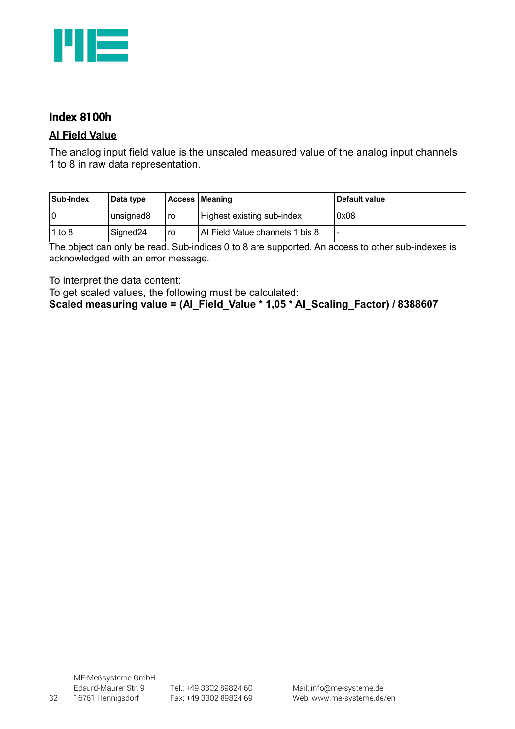

# Index 8100h

#### **AI Field Value**

The analog input field value is the unscaled measured value of the analog input channels 1 to 8 in raw data representation.

| Sub-Index | Data type            |    | Access   Meaning                | Default value            |
|-----------|----------------------|----|---------------------------------|--------------------------|
|           | unsigned8            | ro | Highest existing sub-index      | 0x08                     |
| 1 to $8$  | Signed <sub>24</sub> | ro | Al Field Value channels 1 bis 8 | $\overline{\phantom{0}}$ |

The object can only be read. Sub-indices 0 to 8 are supported. An access to other sub-indexes is acknowledged with an error message.

To interpret the data content:

To get scaled values, the following must be calculated:

**Scaled measuring value = (AI\_Field\_Value \* 1,05 \* AI\_Scaling\_Factor) / 8388607**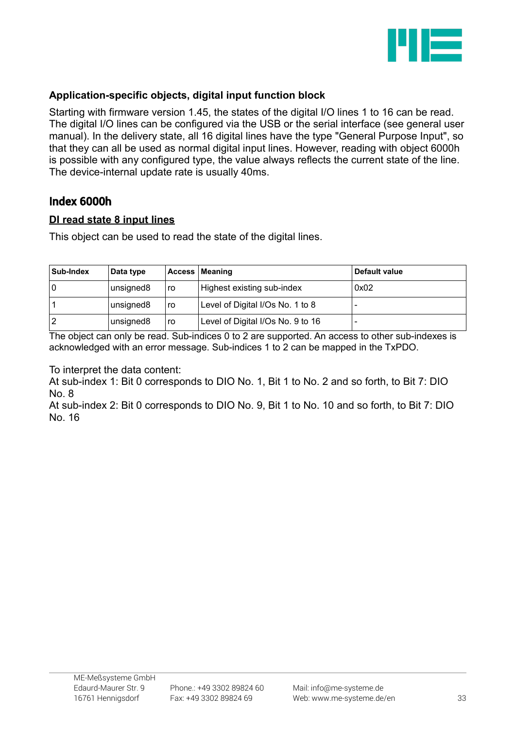

### **Application-specific objects, digital input function block**

Starting with firmware version 1.45, the states of the digital I/O lines 1 to 16 can be read. The digital I/O lines can be configured via the USB or the serial interface (see general user manual). In the delivery state, all 16 digital lines have the type "General Purpose Input", so that they can all be used as normal digital input lines. However, reading with object 6000h is possible with any configured type, the value always reflects the current state of the line. The device-internal update rate is usually 40ms.

### <span id="page-32-0"></span>Index 6000h

#### **DI read state 8 input lines**

This object can be used to read the state of the digital lines.

| <b>Sub-Index</b> | Data type |    | Access   Meaning                  | Default value |
|------------------|-----------|----|-----------------------------------|---------------|
|                  | unsigned8 | ro | Highest existing sub-index        | 0x02          |
|                  | unsigned8 | ro | Level of Digital I/Os No. 1 to 8  |               |
|                  | unsigned8 | ro | Level of Digital I/Os No. 9 to 16 |               |

The object can only be read. Sub-indices 0 to 2 are supported. An access to other sub-indexes is acknowledged with an error message. Sub-indices 1 to 2 can be mapped in the TxPDO.

To interpret the data content:

At sub-index 1: Bit 0 corresponds to DIO No. 1, Bit 1 to No. 2 and so forth, to Bit 7: DIO No. 8

At sub-index 2: Bit 0 corresponds to DIO No. 9, Bit 1 to No. 10 and so forth, to Bit 7: DIO No. 16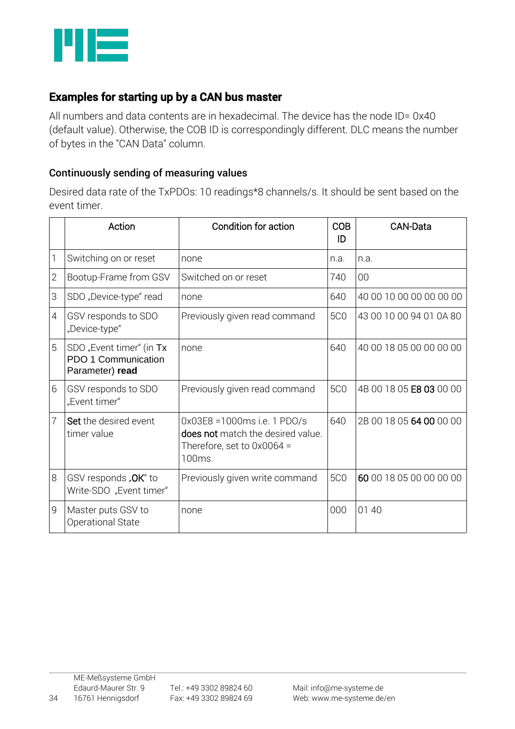

# Examples for starting up by a CAN bus master

All numbers and data contents are in hexadecimal. The device has the node ID= 0x40 (default value). Otherwise, the COB ID is correspondingly different. DLC means the number of bytes in the "CAN Data" column.

### Continuously sending of measuring values

Desired data rate of the TxPDOs: 10 readings\*8 channels/s. It should be sent based on the event timer.

|                | Action                                                             | Condition for action                                                                                        |            | <b>CAN-Data</b>         |  |
|----------------|--------------------------------------------------------------------|-------------------------------------------------------------------------------------------------------------|------------|-------------------------|--|
| $\mathbb{I}$   | Switching on or reset                                              | none                                                                                                        | n.a.       | n.a.                    |  |
| $\overline{2}$ | Bootup-Frame from GSV                                              | Switched on or reset                                                                                        | 740        | 00                      |  |
| 3              | SDO "Device-type" read                                             | none                                                                                                        | 640        | 40 00 10 00 00 00 00 00 |  |
| $\overline{4}$ | GSV responds to SDO<br>"Device-type"                               | Previously given read command                                                                               | <b>5C0</b> | 43 00 10 00 94 01 0A 80 |  |
| 5              | SDO "Event timer" (in Tx<br>PDO 1 Communication<br>Parameter) read | none                                                                                                        | 640        | 40 00 18 05 00 00 00 00 |  |
| 6              | GSV responds to SDO<br>"Event timer"                               | Previously given read command                                                                               | <b>5C0</b> | 4B 00 18 05 E8 03 00 00 |  |
| $\overline{7}$ | Set the desired event<br>timer value                               | 0x03E8 = 1000ms i.e. 1 PDO/s<br>does not match the desired value.<br>Therefore, set to $0x0064 =$<br>100ms. | 640        | 2B 00 18 05 64 00 00 00 |  |
| 8              | GSV responds "OK" to<br>Write-SDO "Event timer"                    | Previously given write command                                                                              | <b>5C0</b> | 60 00 18 05 00 00 00 00 |  |
| 9              | Master puts GSV to<br>Operational State                            | none                                                                                                        | 000        | 01 40                   |  |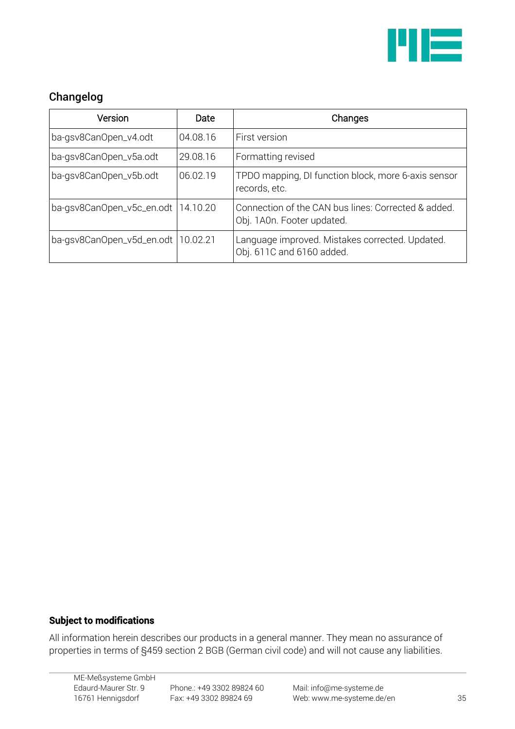

# <span id="page-34-0"></span>Changelog

| Version                              | Date     | Changes                                                                           |
|--------------------------------------|----------|-----------------------------------------------------------------------------------|
| ba-gsv8CanOpen_v4.odt                | 04.08.16 | First version                                                                     |
| ba-gsv8CanOpen_v5a.odt               | 29.08.16 | Formatting revised                                                                |
| ba-gsv8CanOpen_v5b.odt               | 06.02.19 | TPDO mapping, DI function block, more 6-axis sensor<br>records, etc.              |
| ba-gsv8CanOpen_v5c_en.odt   14.10.20 |          | Connection of the CAN bus lines: Corrected & added.<br>Obj. 1A0n. Footer updated. |
| ba-gsv8CanOpen_v5d_en.odt   10.02.21 |          | Language improved. Mistakes corrected. Updated.<br>Obj. 611C and 6160 added.      |

### Subject to modifications

All information herein describes our products in a general manner. They mean no assurance of properties in terms of §459 section 2 BGB (German civil code) and will not cause any liabilities.